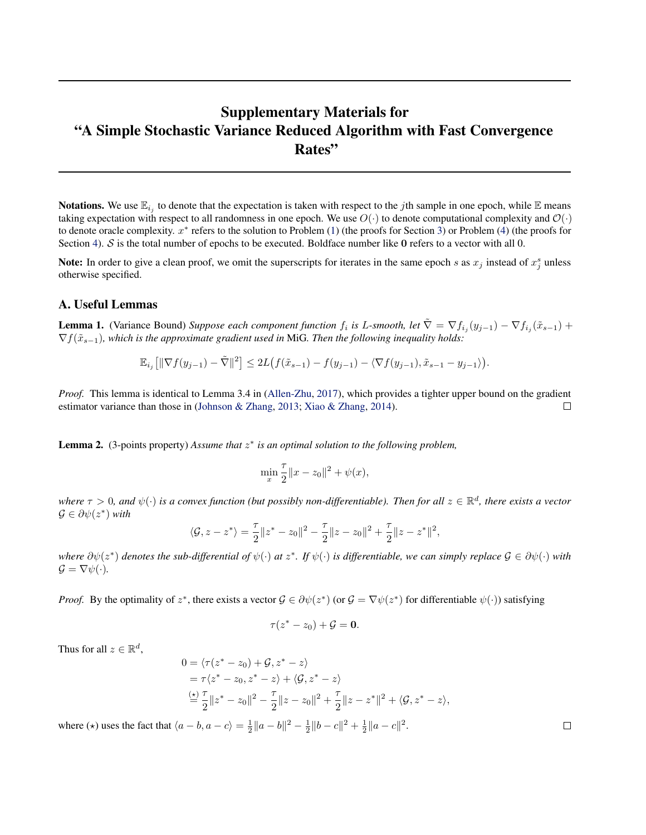# <span id="page-0-0"></span>Supplementary Materials for "A Simple Stochastic Variance Reduced Algorithm with Fast Convergence Rates"

**Notations.** We use  $\mathbb{E}_{i_j}$  to denote that the expectation is taken with respect to the *j*th sample in one epoch, while  $\mathbb E$  means taking expectation with respect to all randomness in one epoch. We use  $O(\cdot)$  to denote computational complexity and  $O(\cdot)$ to denote oracle complexity.  $x^*$  refers to the solution to Problem  $(1)$  (the proofs for Section [3\)](#page--1-0) or Problem  $(4)$  (the proofs for Section [4\)](#page--1-0). S is the total number of epochs to be executed. Boldface number like 0 refers to a vector with all 0.

Note: In order to give a clean proof, we omit the superscripts for iterates in the same epoch s as  $x_j$  instead of  $x_j^s$  unless otherwise specified.

# A. Useful Lemmas

**Lemma 1.** (Variance Bound) *Suppose each component function*  $f_i$  is L-smooth, let  $\tilde{\nabla} = \nabla f_{i_j}(y_{j-1}) - \nabla f_{i_j}(\tilde{x}_{s-1}) +$ ∇f(˜xs−1)*, which is the approximate gradient used in* MiG*. Then the following inequality holds:*

$$
\mathbb{E}_{i_j}\big[\|\nabla f(y_{j-1})-\tilde{\nabla}\|^2\big] \leq 2L\big(f(\tilde{x}_{s-1})-f(y_{j-1})-\langle \nabla f(y_{j-1}),\tilde{x}_{s-1}-y_{j-1}\rangle\big).
$$

*Proof.* This lemma is identical to Lemma 3.4 in [\(Allen-Zhu,](#page--1-0) [2017\)](#page--1-0), which provides a tighter upper bound on the gradient estimator variance than those in [\(Johnson & Zhang,](#page--1-0) [2013;](#page--1-0) [Xiao & Zhang,](#page--1-0) [2014\)](#page--1-0).  $\Box$ 

**Lemma 2.** (3-points property) Assume that  $z^*$  is an optimal solution to the following problem,

$$
\min_{x} \frac{\tau}{2} \|x - z_0\|^2 + \psi(x),
$$

where  $\tau > 0$ , and  $\psi(\cdot)$  is a convex function (but possibly non-differentiable). Then for all  $z \in \mathbb{R}^d$ , there exists a vector  $\mathcal{G} \in \partial \psi(z^*)$  with

$$
\langle \mathcal{G}, z - z^* \rangle = \frac{\tau}{2} \|z^* - z_0\|^2 - \frac{\tau}{2} \|z - z_0\|^2 + \frac{\tau}{2} \|z - z^*\|^2,
$$

*where*  $\partial$ ψ(*z*<sup>\*</sup>) *denotes the sub-differential of* ψ(·) *at z*<sup>\*</sup>. *If* ψ(·) *is differentiable, we can simply replace*  $G \in \partial$ ψ(·) *with*  $\mathcal{G} = \nabla \psi(\cdot).$ 

*Proof.* By the optimality of  $z^*$ , there exists a vector  $\mathcal{G} \in \partial \psi(z^*)$  (or  $\mathcal{G} = \nabla \psi(z^*)$  for differentiable  $\psi(\cdot)$ ) satisfying

$$
\tau(z^*-z_0)+\mathcal{G}=\mathbf{0}.
$$

Thus for all  $z \in \mathbb{R}^d$ ,

$$
0 = \langle \tau(z^* - z_0) + \mathcal{G}, z^* - z \rangle
$$
  
=  $\tau \langle z^* - z_0, z^* - z \rangle + \langle \mathcal{G}, z^* - z \rangle$   

$$
\stackrel{(\star)}{=} \frac{\tau}{2} ||z^* - z_0||^2 - \frac{\tau}{2} ||z - z_0||^2 + \frac{\tau}{2} ||z - z^*||^2 + \langle \mathcal{G}, z^* - z \rangle,
$$

where ( $\star$ ) uses the fact that  $\langle a - b, a - c \rangle = \frac{1}{2} ||a - b||^2 - \frac{1}{2} ||b - c||^2 + \frac{1}{2} ||a - c||^2$ .

 $\Box$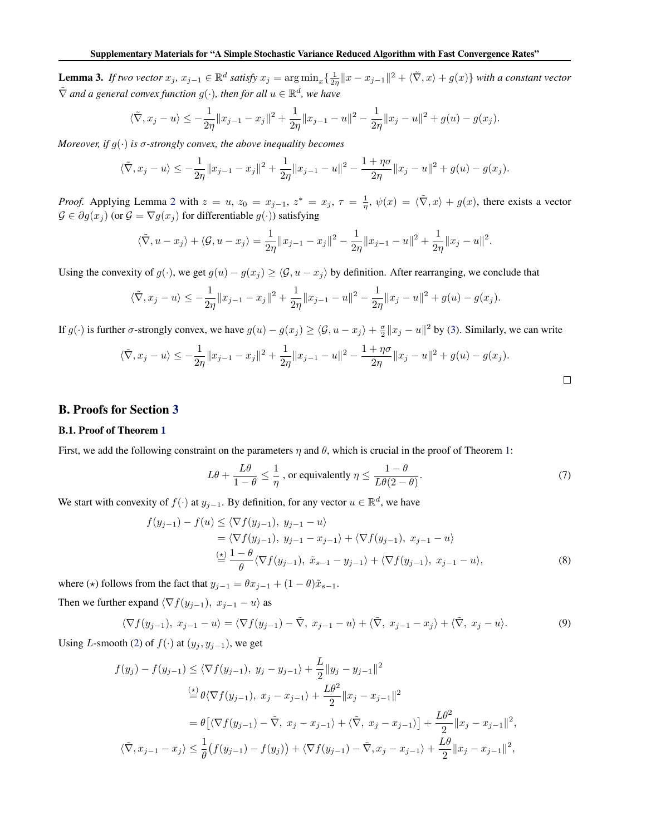<span id="page-1-0"></span>**Lemma 3.** If two vector  $x_j$ ,  $x_{j-1} \in \mathbb{R}^d$  satisfy  $x_j = \arg \min_x \{ \frac{1}{2\eta} \|x - x_{j-1}\|^2 + \langle \tilde{\nabla}, x \rangle + g(x) \}$  with a constant vector  $\tilde{\nabla}$  and a general convex function  $g(\cdot)$ , then for all  $u \in \mathbb{R}^d$ , we have

$$
\langle \tilde{\nabla}, x_j - u \rangle \le -\frac{1}{2\eta} \|x_{j-1} - x_j\|^2 + \frac{1}{2\eta} \|x_{j-1} - u\|^2 - \frac{1}{2\eta} \|x_j - u\|^2 + g(u) - g(x_j).
$$

*Moreover, if*  $g(\cdot)$  *is*  $\sigma$ -strongly convex, the above inequality becomes

$$
\langle \tilde{\nabla}, x_j - u \rangle \le -\frac{1}{2\eta} \|x_{j-1} - x_j\|^2 + \frac{1}{2\eta} \|x_{j-1} - u\|^2 - \frac{1 + \eta \sigma}{2\eta} \|x_j - u\|^2 + g(u) - g(x_j).
$$

*Proof.* Applying Lemma [2](#page-0-0) with  $z = u$ ,  $z_0 = x_{j-1}$ ,  $z^* = x_j$ ,  $\tau = \frac{1}{\eta}$ ,  $\psi(x) = \langle \tilde{\nabla}, x \rangle + g(x)$ , there exists a vector  $\mathcal{G} \in \partial g(x_i)$  (or  $\mathcal{G} = \nabla g(x_i)$  for differentiable  $g(\cdot)$ ) satisfying

$$
\langle \tilde{\nabla}, u - x_j \rangle + \langle \mathcal{G}, u - x_j \rangle = \frac{1}{2\eta} \|x_{j-1} - x_j\|^2 - \frac{1}{2\eta} \|x_{j-1} - u\|^2 + \frac{1}{2\eta} \|x_j - u\|^2.
$$

Using the convexity of  $g(\cdot)$ , we get  $g(u) - g(x_i) \ge \langle \mathcal{G}, u - x_i \rangle$  by definition. After rearranging, we conclude that

$$
\langle \tilde{\nabla}, x_j - u \rangle \le -\frac{1}{2\eta} \|x_{j-1} - x_j\|^2 + \frac{1}{2\eta} \|x_{j-1} - u\|^2 - \frac{1}{2\eta} \|x_j - u\|^2 + g(u) - g(x_j).
$$

If  $g(\cdot)$  is further  $\sigma$ -strongly convex, we have  $g(u) - g(x_j) \ge \langle \mathcal{G}, u - x_j \rangle + \frac{\sigma}{2} ||x_j - u||^2$  by [\(3\)](#page--1-0). Similarly, we can write

$$
\langle \tilde{\nabla}, x_j - u \rangle \le -\frac{1}{2\eta} \|x_{j-1} - x_j\|^2 + \frac{1}{2\eta} \|x_{j-1} - u\|^2 - \frac{1 + \eta \sigma}{2\eta} \|x_j - u\|^2 + g(u) - g(x_j).
$$

#### B. Proofs for Section [3](#page--1-0)

#### B.1. Proof of Theorem [1](#page--1-0)

First, we add the following constraint on the parameters  $\eta$  and  $\theta$ , which is crucial in the proof of Theorem [1:](#page--1-0)

$$
L\theta + \frac{L\theta}{1-\theta} \le \frac{1}{\eta}, \text{ or equivalently } \eta \le \frac{1-\theta}{L\theta(2-\theta)}.
$$
 (7)

We start with convexity of  $f(\cdot)$  at  $y_{j-1}$ . By definition, for any vector  $u \in \mathbb{R}^d$ , we have

$$
f(y_{j-1}) - f(u) \le \langle \nabla f(y_{j-1}), y_{j-1} - u \rangle
$$
  
=  $\langle \nabla f(y_{j-1}), y_{j-1} - x_{j-1} \rangle + \langle \nabla f(y_{j-1}), x_{j-1} - u \rangle$   
 $\stackrel{\text{(x)}}{=} \frac{1 - \theta}{\theta} \langle \nabla f(y_{j-1}), \tilde{x}_{s-1} - y_{j-1} \rangle + \langle \nabla f(y_{j-1}), x_{j-1} - u \rangle,$  (8)

where ( $\star$ ) follows from the fact that  $y_{j-1} = \theta x_{j-1} + (1 - \theta)\tilde{x}_{s-1}$ .

Then we further expand  $\langle \nabla f(y_{j-1}), x_{j-1} - u \rangle$  as

$$
\langle \nabla f(y_{j-1}), x_{j-1} - u \rangle = \langle \nabla f(y_{j-1}) - \tilde{\nabla}, x_{j-1} - u \rangle + \langle \tilde{\nabla}, x_{j-1} - x_j \rangle + \langle \tilde{\nabla}, x_j - u \rangle. \tag{9}
$$

Using L-smooth [\(2\)](#page--1-0) of  $f(\cdot)$  at  $(y_j, y_{j-1})$ , we get

$$
f(y_j) - f(y_{j-1}) \le \langle \nabla f(y_{j-1}), y_j - y_{j-1} \rangle + \frac{L}{2} \|y_j - y_{j-1}\|^2
$$
  
\n
$$
\stackrel{\text{(b)}}{=} \theta \langle \nabla f(y_{j-1}), x_j - x_{j-1} \rangle + \frac{L\theta^2}{2} \|x_j - x_{j-1}\|^2
$$
  
\n
$$
= \theta \left[ \langle \nabla f(y_{j-1}) - \tilde{\nabla}, x_j - x_{j-1} \rangle + \langle \tilde{\nabla}, x_j - x_{j-1} \rangle \right] + \frac{L\theta^2}{2} \|x_j - x_{j-1}\|^2,
$$
  
\n
$$
\langle \tilde{\nabla}, x_{j-1} - x_j \rangle \le \frac{1}{\theta} \left( f(y_{j-1}) - f(y_j) \right) + \langle \nabla f(y_{j-1}) - \tilde{\nabla}, x_j - x_{j-1} \rangle + \frac{L\theta}{2} \|x_j - x_{j-1}\|^2,
$$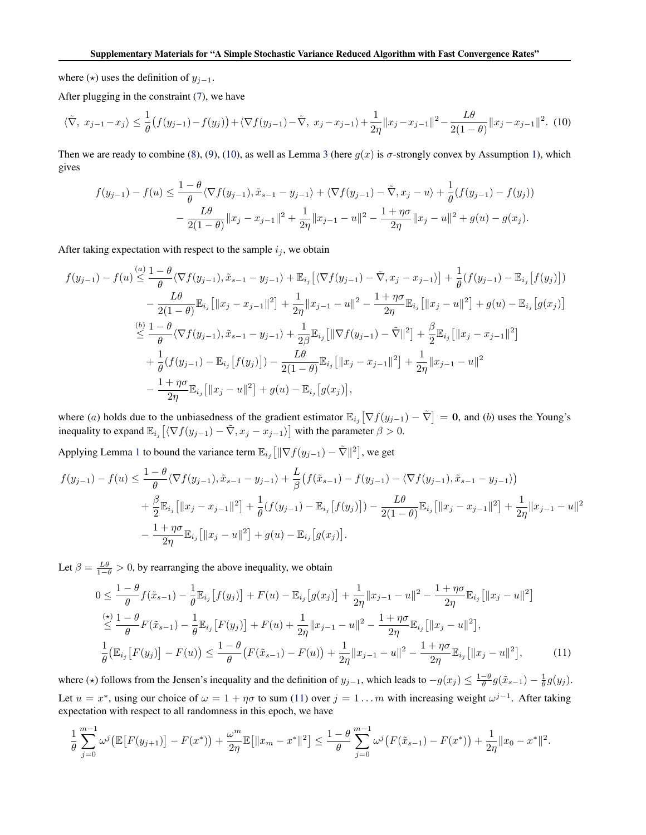where  $(\star)$  uses the definition of  $y_{j-1}$ .

After plugging in the constraint [\(7\)](#page-1-0), we have

$$
\langle \tilde{\nabla}, x_{j-1} - x_j \rangle \le \frac{1}{\theta} \left( f(y_{j-1}) - f(y_j) \right) + \langle \nabla f(y_{j-1}) - \tilde{\nabla}, x_j - x_{j-1} \rangle + \frac{1}{2\eta} \| x_j - x_{j-1} \|^2 - \frac{L\theta}{2(1-\theta)} \| x_j - x_{j-1} \|^2. \tag{10}
$$

Then we are ready to combine [\(8\)](#page-1-0), [\(9\)](#page-1-0), (10), as well as Lemma [3](#page-1-0) (here  $g(x)$  is  $\sigma$ -strongly convex by Assumption [1\)](#page--1-0), which gives

$$
f(y_{j-1}) - f(u) \le \frac{1-\theta}{\theta} \langle \nabla f(y_{j-1}), \tilde{x}_{s-1} - y_{j-1} \rangle + \langle \nabla f(y_{j-1}) - \tilde{\nabla}, x_j - u \rangle + \frac{1}{\theta} (f(y_{j-1}) - f(y_j))
$$

$$
- \frac{L\theta}{2(1-\theta)} ||x_j - x_{j-1}||^2 + \frac{1}{2\eta} ||x_{j-1} - u||^2 - \frac{1+\eta\sigma}{2\eta} ||x_j - u||^2 + g(u) - g(x_j).
$$

After taking expectation with respect to the sample  $i_j$ , we obtain

$$
f(y_{j-1}) - f(u) \leq \frac{1-\theta}{\theta} \langle \nabla f(y_{j-1}), \tilde{x}_{s-1} - y_{j-1} \rangle + \mathbb{E}_{i_j} \left[ \langle \nabla f(y_{j-1}) - \tilde{\nabla}, x_j - x_{j-1} \rangle \right] + \frac{1}{\theta} (f(y_{j-1}) - \mathbb{E}_{i_j} \left[ f(y_j) \right])
$$
  

$$
- \frac{L\theta}{2(1-\theta)} \mathbb{E}_{i_j} \left[ \|x_j - x_{j-1}\|^2 \right] + \frac{1}{2\eta} \|x_{j-1} - u\|^2 - \frac{1+\eta\sigma}{2\eta} \mathbb{E}_{i_j} \left[ \|x_j - u\|^2 \right] + g(u) - \mathbb{E}_{i_j} \left[ g(x_j) \right]
$$
  

$$
\leq \frac{1-\theta}{\theta} \langle \nabla f(y_{j-1}), \tilde{x}_{s-1} - y_{j-1} \rangle + \frac{1}{2\beta} \mathbb{E}_{i_j} \left[ \|\nabla f(y_{j-1}) - \tilde{\nabla}\|^2 \right] + \frac{\beta}{2} \mathbb{E}_{i_j} \left[ \|x_j - x_{j-1}\|^2 \right]
$$
  

$$
+ \frac{1}{\theta} (f(y_{j-1}) - \mathbb{E}_{i_j} \left[ f(y_j) \right]) - \frac{L\theta}{2(1-\theta)} \mathbb{E}_{i_j} \left[ \|x_j - x_{j-1}\|^2 \right] + \frac{1}{2\eta} \|x_{j-1} - u\|^2
$$
  

$$
- \frac{1+\eta\sigma}{2\eta} \mathbb{E}_{i_j} \left[ \|x_j - u\|^2 \right] + g(u) - \mathbb{E}_{i_j} \left[ g(x_j) \right],
$$

where (a) holds due to the unbiasedness of the gradient estimator  $\mathbb{E}_{i_j} \left[ \nabla f(y_{j-1}) - \tilde{\nabla} \right] = \mathbf{0}$ , and (b) uses the Young's inequality to expand  $\mathbb{E}_{i_j} \left[ \langle \nabla f(y_{j-1}) - \tilde{\nabla}, x_j - x_{j-1} \rangle \right]$  with the parameter  $\beta > 0$ .

Applying Lemma [1](#page-0-0) to bound the variance term  $\mathbb{E}_{i_j} \left[ \|\nabla f(y_{j-1}) - \tilde{\nabla} \|^2 \right]$ , we get

$$
f(y_{j-1}) - f(u) \leq \frac{1 - \theta}{\theta} \langle \nabla f(y_{j-1}), \tilde{x}_{s-1} - y_{j-1} \rangle + \frac{L}{\beta} \left( f(\tilde{x}_{s-1}) - f(y_{j-1}) - \langle \nabla f(y_{j-1}), \tilde{x}_{s-1} - y_{j-1} \rangle \right) + \frac{\beta}{2} \mathbb{E}_{i_j} \left[ ||x_j - x_{j-1}||^2 \right] + \frac{1}{\theta} \left( f(y_{j-1}) - \mathbb{E}_{i_j} \left[ f(y_j) \right] \right) - \frac{L\theta}{2(1 - \theta)} \mathbb{E}_{i_j} \left[ ||x_j - x_{j-1}||^2 \right] + \frac{1}{2\eta} ||x_{j-1} - u||^2 - \frac{1 + \eta \sigma}{2\eta} \mathbb{E}_{i_j} \left[ ||x_j - u||^2 \right] + g(u) - \mathbb{E}_{i_j} \left[ g(x_j) \right].
$$

Let  $\beta = \frac{L\theta}{1-\theta} > 0$ , by rearranging the above inequality, we obtain

$$
0 \leq \frac{1-\theta}{\theta} f(\tilde{x}_{s-1}) - \frac{1}{\theta} \mathbb{E}_{i_j} [f(y_j)] + F(u) - \mathbb{E}_{i_j} [g(x_j)] + \frac{1}{2\eta} \|x_{j-1} - u\|^2 - \frac{1+\eta\sigma}{2\eta} \mathbb{E}_{i_j} [\|x_j - u\|^2]
$$
  
\n
$$
\leq \frac{1-\theta}{\theta} F(\tilde{x}_{s-1}) - \frac{1}{\theta} \mathbb{E}_{i_j} [F(y_j)] + F(u) + \frac{1}{2\eta} \|x_{j-1} - u\|^2 - \frac{1+\eta\sigma}{2\eta} \mathbb{E}_{i_j} [\|x_j - u\|^2],
$$
  
\n
$$
\frac{1}{\theta} (\mathbb{E}_{i_j} [F(y_j)] - F(u)) \leq \frac{1-\theta}{\theta} (F(\tilde{x}_{s-1}) - F(u)) + \frac{1}{2\eta} \|x_{j-1} - u\|^2 - \frac{1+\eta\sigma}{2\eta} \mathbb{E}_{i_j} [\|x_j - u\|^2],
$$
 (11)

where ( $\star$ ) follows from the Jensen's inequality and the definition of  $y_{j-1}$ , which leads to  $-g(x_j) \leq \frac{1-\theta}{\theta} g(\tilde{x}_{s-1}) - \frac{1}{\theta} g(y_j)$ . Let  $u = x^*$ , using our choice of  $\omega = 1 + \eta \sigma$  to sum (11) over  $j = 1...m$  with increasing weight  $\omega^{j-1}$ . After taking expectation with respect to all randomness in this epoch, we have

$$
\frac{1}{\theta} \sum_{j=0}^{m-1} \omega^j \big( \mathbb{E} \big[ F(y_{j+1}) \big] - F(x^*) \big) + \frac{\omega^m}{2\eta} \mathbb{E} \big[ \|x_m - x^*\|^2 \big] \le \frac{1-\theta}{\theta} \sum_{j=0}^{m-1} \omega^j \big( F(\tilde{x}_{s-1}) - F(x^*) \big) + \frac{1}{2\eta} \|x_0 - x^*\|^2.
$$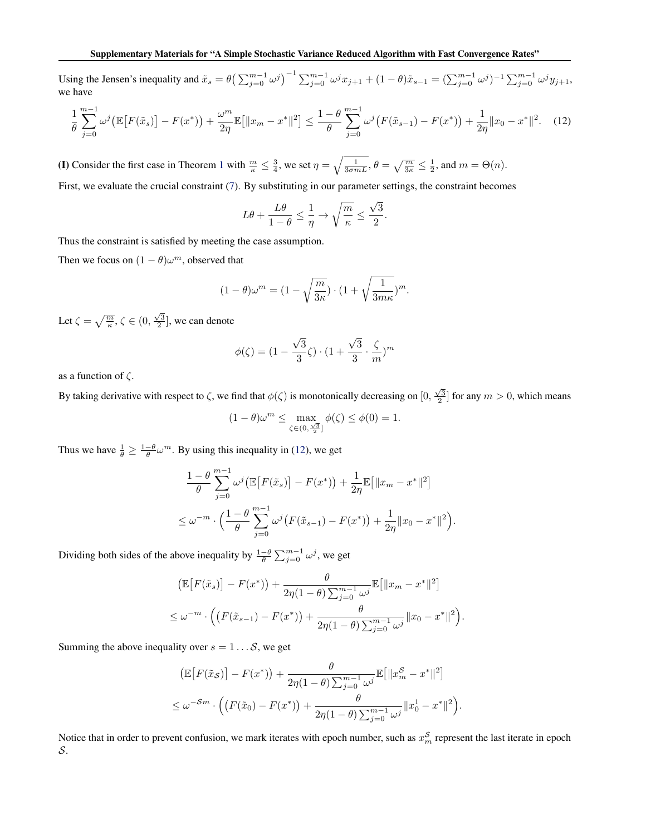<span id="page-3-0"></span>Using the Jensen's inequality and  $\tilde{x}_s = \theta \left( \sum_{j=0}^{m-1} \omega^j \right)^{-1} \sum_{j=0}^{m-1} \omega^j x_{j+1} + (1-\theta) \tilde{x}_{s-1} = (\sum_{j=0}^{m-1} \omega^j)^{-1} \sum_{j=0}^{m-1} \omega^j y_{j+1}$ we have

$$
\frac{1}{\theta} \sum_{j=0}^{m-1} \omega^j \left( \mathbb{E} \left[ F(\tilde{x}_s) \right] - F(x^*) \right) + \frac{\omega^m}{2\eta} \mathbb{E} \left[ \|x_m - x^*\|^2 \right] \le \frac{1-\theta}{\theta} \sum_{j=0}^{m-1} \omega^j \left( F(\tilde{x}_{s-1}) - F(x^*) \right) + \frac{1}{2\eta} \|x_0 - x^*\|^2. \tag{12}
$$

(I) Consider the first case in Theorem [1](#page--1-0) with  $\frac{m}{\kappa} \leq \frac{3}{4}$ , we set  $\eta = \sqrt{\frac{1}{3\sigma mL}}$ ,  $\theta = \sqrt{\frac{m}{3\kappa}} \leq \frac{1}{2}$ , and  $m = \Theta(n)$ .

First, we evaluate the crucial constraint [\(7\)](#page-1-0). By substituting in our parameter settings, the constraint becomes

$$
L\theta + \frac{L\theta}{1-\theta} \le \frac{1}{\eta} \to \sqrt{\frac{m}{\kappa}} \le \frac{\sqrt{3}}{2}.
$$

Thus the constraint is satisfied by meeting the case assumption.

Then we focus on  $(1 - \theta)\omega^m$ , observed that

$$
(1 - \theta)\omega^m = (1 - \sqrt{\frac{m}{3\kappa}}) \cdot (1 + \sqrt{\frac{1}{3m\kappa}})^m.
$$

Let  $\zeta = \sqrt{\frac{m}{\kappa}}, \zeta \in (0, \frac{\sqrt{3}}{2}],$  we can denote

$$
\phi(\zeta) = (1 - \frac{\sqrt{3}}{3}\zeta) \cdot (1 + \frac{\sqrt{3}}{3} \cdot \frac{\zeta}{m})^m
$$

as a function of  $\zeta$ .

By taking derivative with respect to  $\zeta$ , we find that  $\phi(\zeta)$  is monotonically decreasing on  $[0, \frac{\sqrt{3}}{2}]$  for any  $m > 0$ , which means

$$
(1 - \theta)\omega^m \le \max_{\zeta \in (0, \frac{\sqrt{3}}{2}]} \phi(\zeta) \le \phi(0) = 1.
$$

Thus we have  $\frac{1}{\theta} \ge \frac{1-\theta}{\theta} \omega^m$ . By using this inequality in (12), we get

$$
\frac{1-\theta}{\theta} \sum_{j=0}^{m-1} \omega^j \left( \mathbb{E} \left[ F(\tilde{x}_s) \right] - F(x^*) \right) + \frac{1}{2\eta} \mathbb{E} \left[ \|x_m - x^*\|^2 \right] \n\leq \omega^{-m} \cdot \left( \frac{1-\theta}{\theta} \sum_{j=0}^{m-1} \omega^j \left( F(\tilde{x}_{s-1}) - F(x^*) \right) + \frac{1}{2\eta} \|x_0 - x^*\|^2 \right).
$$

Dividing both sides of the above inequality by  $\frac{1-\theta}{\theta} \sum_{j=0}^{m-1} \omega^j$ , we get

$$
\begin{aligned} &\left(\mathbb{E}\big[F(\tilde{x}_s)\big] - F(x^*)\right) + \frac{\theta}{2\eta(1-\theta)\sum_{j=0}^{m-1}\omega^j}\mathbb{E}\big[\|x_m - x^*\|^2\big] \\ &\leq \omega^{-m} \cdot \left(\left(F(\tilde{x}_{s-1}) - F(x^*)\right) + \frac{\theta}{2\eta(1-\theta)\sum_{j=0}^{m-1}\omega^j}\|x_0 - x^*\|^2\right). \end{aligned}
$$

Summing the above inequality over  $s = 1 \dots S$ , we get

$$
\left(\mathbb{E}\big[F(\tilde{x}_{\mathcal{S}})\big] - F(x^*)\right) + \frac{\theta}{2\eta(1-\theta)\sum_{j=0}^{m-1}\omega^j}\mathbb{E}\big[\|x_m^{\mathcal{S}} - x^*\|^2\big]
$$
  

$$
\leq \omega^{-\mathcal{S}m} \cdot \left(\left(F(\tilde{x}_0) - F(x^*)\right) + \frac{\theta}{2\eta(1-\theta)\sum_{j=0}^{m-1}\omega^j}\|x_0^1 - x^*\|^2\right).
$$

Notice that in order to prevent confusion, we mark iterates with epoch number, such as  $x_m^S$  represent the last iterate in epoch S.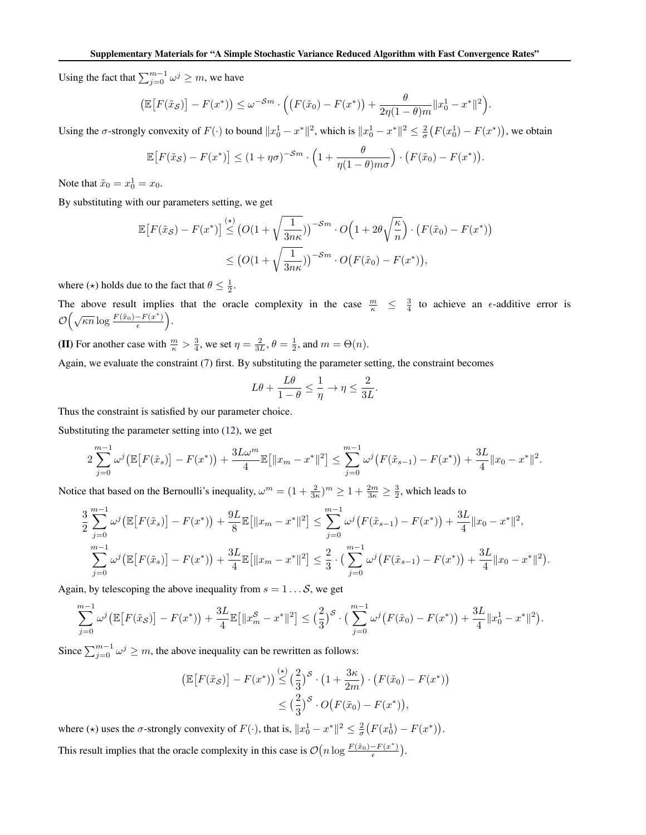Using the fact that  $\sum_{j=0}^{m-1} \omega^j \geq m$ , we have

$$
\left(\mathbb{E}\big[F(\tilde{x}_{\mathcal{S}})\big] - F(x^*)\right) \leq \omega^{-\mathcal{S}m} \cdot \left( \left(F(\tilde{x}_0) - F(x^*)\right) + \frac{\theta}{2\eta(1-\theta)m} \|x_0^1 - x^*\|^2 \right).
$$

Using the  $\sigma$ -strongly convexity of  $F(\cdot)$  to bound  $||x_0^1 - x^*||^2$ , which is  $||x_0^1 - x^*||^2 \le \frac{2}{\sigma}(F(x_0^1) - F(x^*))$ , we obtain

$$
\mathbb{E}\big[F(\tilde{x}_{\mathcal{S}}) - F(x^*)\big] \le (1 + \eta\sigma)^{-\mathcal{S}m} \cdot \left(1 + \frac{\theta}{\eta(1-\theta)m\sigma}\right) \cdot \left(F(\tilde{x}_0) - F(x^*)\right).
$$

Note that  $\tilde{x}_0 = x_0^1 = x_0$ .

By substituting with our parameters setting, we get

$$
\mathbb{E}\big[F(\tilde{x}_{\mathcal{S}}) - F(x^*)\big] \stackrel{(*)}{\leq} \left(O(1 + \sqrt{\frac{1}{3n\kappa}})\right)^{-\mathcal{S}m} \cdot O\Big(1 + 2\theta\sqrt{\frac{\kappa}{n}}\Big) \cdot \left(F(\tilde{x}_0) - F(x^*)\right)
$$

$$
\leq \left(O(1 + \sqrt{\frac{1}{3n\kappa}})\right)^{-\mathcal{S}m} \cdot O\big(F(\tilde{x}_0) - F(x^*)\big),
$$

where ( $\star$ ) holds due to the fact that  $\theta \leq \frac{1}{2}$ .

The above result implies that the oracle complexity in the case  $\frac{m}{\kappa} \leq \frac{3}{4}$  to achieve an  $\epsilon$ -additive error is  $\mathcal{O}\left(\sqrt{\kappa n}\log\frac{F(\tilde{x}_0)-F(x^*)}{\epsilon}\right)$  $\frac{-F(x^*)}{\epsilon}$ .

**(II)** For another case with  $\frac{m}{\kappa} > \frac{3}{4}$ , we set  $\eta = \frac{2}{3L}$ ,  $\theta = \frac{1}{2}$ , and  $m = \Theta(n)$ .

Again, we evaluate the constraint [\(7\)](#page-1-0) first. By substituting the parameter setting, the constraint becomes

$$
L\theta + \frac{L\theta}{1-\theta} \le \frac{1}{\eta} \to \eta \le \frac{2}{3L}.
$$

Thus the constraint is satisfied by our parameter choice.

Substituting the parameter setting into [\(12\)](#page-3-0), we get

$$
2\sum_{j=0}^{m-1}\omega^j\big(\mathbb{E}\big[F(\tilde{x}_s)\big] - F(x^*)\big) + \frac{3L\omega^m}{4}\mathbb{E}\big[\|x_m - x^*\|^2\big] \leq \sum_{j=0}^{m-1}\omega^j\big(F(\tilde{x}_{s-1}) - F(x^*)\big) + \frac{3L}{4}\|x_0 - x^*\|^2.
$$

Notice that based on the Bernoulli's inequality,  $\omega^m = (1 + \frac{2}{3\kappa})^m \ge 1 + \frac{2m}{3\kappa} \ge \frac{3}{2}$ , which leads to

$$
\frac{3}{2}\sum_{j=0}^{m-1}\omega^{j}\left(\mathbb{E}\left[F(\tilde{x}_{s})\right] - F(x^{*})\right) + \frac{9L}{8}\mathbb{E}\left[\|x_{m} - x^{*}\|^{2}\right] \leq \sum_{j=0}^{m-1}\omega^{j}\left(F(\tilde{x}_{s-1}) - F(x^{*})\right) + \frac{3L}{4}\|x_{0} - x^{*}\|^{2},
$$
\n
$$
\sum_{j=0}^{m-1}\omega^{j}\left(\mathbb{E}\left[F(\tilde{x}_{s})\right] - F(x^{*})\right) + \frac{3L}{4}\mathbb{E}\left[\|x_{m} - x^{*}\|^{2}\right] \leq \frac{2}{3} \cdot \left(\sum_{j=0}^{m-1}\omega^{j}\left(F(\tilde{x}_{s-1}) - F(x^{*})\right) + \frac{3L}{4}\|x_{0} - x^{*}\|^{2}\right).
$$

Again, by telescoping the above inequality from  $s = 1...S$ , we get

$$
\sum_{j=0}^{m-1} \omega^j \big( \mathbb{E} \big[ F(\tilde{x}_{\mathcal{S}}) \big] - F(x^*) \big) + \frac{3L}{4} \mathbb{E} \big[ \| x_m^{\mathcal{S}} - x^* \|^2 \big] \leq \big( \frac{2}{3} \big)^{\mathcal{S}} \cdot \big( \sum_{j=0}^{m-1} \omega^j \big( F(\tilde{x}_0) - F(x^*) \big) + \frac{3L}{4} \| x_0^1 - x^* \|^2 \big).
$$

Since  $\sum_{j=0}^{m-1} \omega^j \geq m$ , the above inequality can be rewritten as follows:

$$
\begin{aligned} \left(\mathbb{E}\big[F(\tilde{x}_{\mathcal{S}})\big] - F(x^*)\right) &\stackrel{(\star)}{\leq} \left(\frac{2}{3}\right)^{\mathcal{S}} \cdot \left(1 + \frac{3\kappa}{2m}\right) \cdot \left(F(\tilde{x}_0) - F(x^*)\right) \\ &\leq \left(\frac{2}{3}\right)^{\mathcal{S}} \cdot O\big(F(\tilde{x}_0) - F(x^*)\big), \end{aligned}
$$

where ( $\star$ ) uses the  $\sigma$ -strongly convexity of  $F(\cdot)$ , that is,  $||x_0^1 - x^*||^2 \le \frac{2}{\sigma}(F(x_0^1) - F(x^*))$ . This result implies that the oracle complexity in this case is  $\mathcal{O}(n \log \frac{F(\tilde{x}_0) - F(x^*)}{\epsilon})$  $\frac{-F(x^*)}{\epsilon}$ ).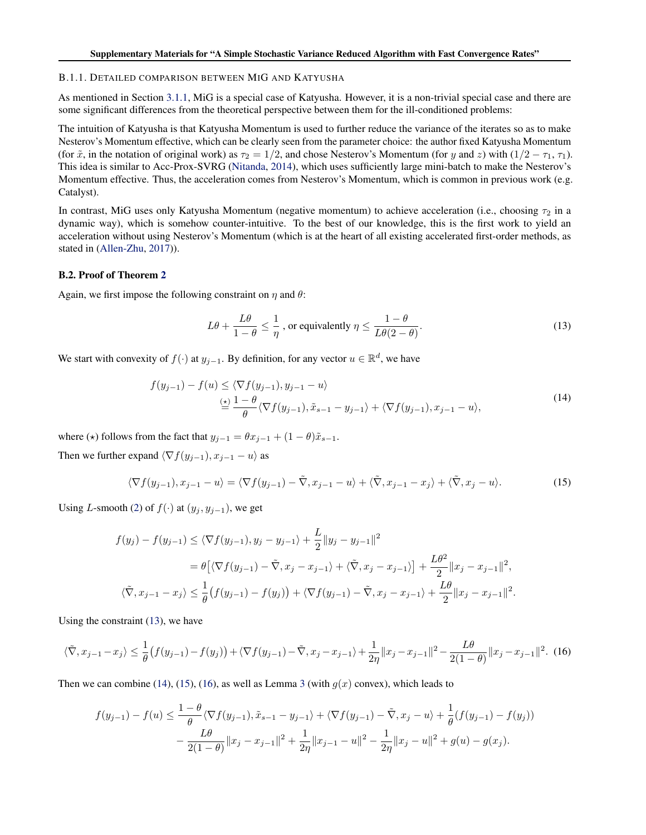#### <span id="page-5-0"></span>B.1.1. DETAILED COMPARISON BETWEEN MIG AND KATYUSHA

As mentioned in Section [3.1.1,](#page--1-0) MiG is a special case of Katyusha. However, it is a non-trivial special case and there are some significant differences from the theoretical perspective between them for the ill-conditioned problems:

The intuition of Katyusha is that Katyusha Momentum is used to further reduce the variance of the iterates so as to make Nesterov's Momentum effective, which can be clearly seen from the parameter choice: the author fixed Katyusha Momentum (for  $\tilde{x}$ , in the notation of original work) as  $\tau_2 = 1/2$ , and chose Nesterov's Momentum (for y and z) with  $(1/2 - \tau_1, \tau_1)$ . This idea is similar to Acc-Prox-SVRG [\(Nitanda,](#page--1-0) [2014\)](#page--1-0), which uses sufficiently large mini-batch to make the Nesterov's Momentum effective. Thus, the acceleration comes from Nesterov's Momentum, which is common in previous work (e.g. Catalyst).

In contrast, MiG uses only Katyusha Momentum (negative momentum) to achieve acceleration (i.e., choosing  $\tau_2$  in a dynamic way), which is somehow counter-intuitive. To the best of our knowledge, this is the first work to yield an acceleration without using Nesterov's Momentum (which is at the heart of all existing accelerated first-order methods, as stated in [\(Allen-Zhu,](#page--1-0) [2017\)](#page--1-0)).

#### B.2. Proof of Theorem [2](#page--1-0)

Again, we first impose the following constraint on  $\eta$  and  $\theta$ :

$$
L\theta + \frac{L\theta}{1-\theta} \le \frac{1}{\eta}, \text{ or equivalently } \eta \le \frac{1-\theta}{L\theta(2-\theta)}.
$$
 (13)

We start with convexity of  $f(\cdot)$  at  $y_{j-1}$ . By definition, for any vector  $u \in \mathbb{R}^d$ , we have

$$
f(y_{j-1}) - f(u) \le \langle \nabla f(y_{j-1}), y_{j-1} - u \rangle
$$
  
\n
$$
\stackrel{(\star)}{=} \frac{1 - \theta}{\theta} \langle \nabla f(y_{j-1}), \tilde{x}_{s-1} - y_{j-1} \rangle + \langle \nabla f(y_{j-1}), x_{j-1} - u \rangle,
$$
\n(14)

where ( $\star$ ) follows from the fact that  $y_{i-1} = \theta x_{i-1} + (1 - \theta)\tilde{x}_{s-1}$ .

Then we further expand  $\langle \nabla f(y_{j-1}), x_{j-1} - u \rangle$  as

$$
\langle \nabla f(y_{j-1}), x_{j-1} - u \rangle = \langle \nabla f(y_{j-1}) - \tilde{\nabla}, x_{j-1} - u \rangle + \langle \tilde{\nabla}, x_{j-1} - x_j \rangle + \langle \tilde{\nabla}, x_j - u \rangle. \tag{15}
$$

Using L-smooth [\(2\)](#page--1-0) of  $f(\cdot)$  at  $(y_j, y_{j-1})$ , we get

$$
f(y_j) - f(y_{j-1}) \le \langle \nabla f(y_{j-1}), y_j - y_{j-1} \rangle + \frac{L}{2} \| y_j - y_{j-1} \|^2
$$
  
=  $\theta \left[ \langle \nabla f(y_{j-1}) - \tilde{\nabla}, x_j - x_{j-1} \rangle + \langle \tilde{\nabla}, x_j - x_{j-1} \rangle \right] + \frac{L\theta^2}{2} \| x_j - x_{j-1} \|^2,$   
 $\langle \tilde{\nabla}, x_{j-1} - x_j \rangle \le \frac{1}{\theta} \left( f(y_{j-1}) - f(y_j) \right) + \langle \nabla f(y_{j-1}) - \tilde{\nabla}, x_j - x_{j-1} \rangle + \frac{L\theta}{2} \| x_j - x_{j-1} \|^2.$ 

Using the constraint (13), we have

$$
\langle \tilde{\nabla}, x_{j-1} - x_j \rangle \le \frac{1}{\theta} \left( f(y_{j-1}) - f(y_j) \right) + \langle \nabla f(y_{j-1}) - \tilde{\nabla}, x_j - x_{j-1} \rangle + \frac{1}{2\eta} \| x_j - x_{j-1} \|^2 - \frac{L\theta}{2(1-\theta)} \| x_j - x_{j-1} \|^2. \tag{16}
$$

Then we can combine (14), (15), (16), as well as Lemma [3](#page-1-0) (with  $g(x)$  convex), which leads to

$$
f(y_{j-1}) - f(u) \le \frac{1-\theta}{\theta} \langle \nabla f(y_{j-1}), \tilde{x}_{s-1} - y_{j-1} \rangle + \langle \nabla f(y_{j-1}) - \tilde{\nabla}, x_j - u \rangle + \frac{1}{\theta} (f(y_{j-1}) - f(y_j))
$$

$$
- \frac{L\theta}{2(1-\theta)} \|x_j - x_{j-1}\|^2 + \frac{1}{2\eta} \|x_{j-1} - u\|^2 - \frac{1}{2\eta} \|x_j - u\|^2 + g(u) - g(x_j).
$$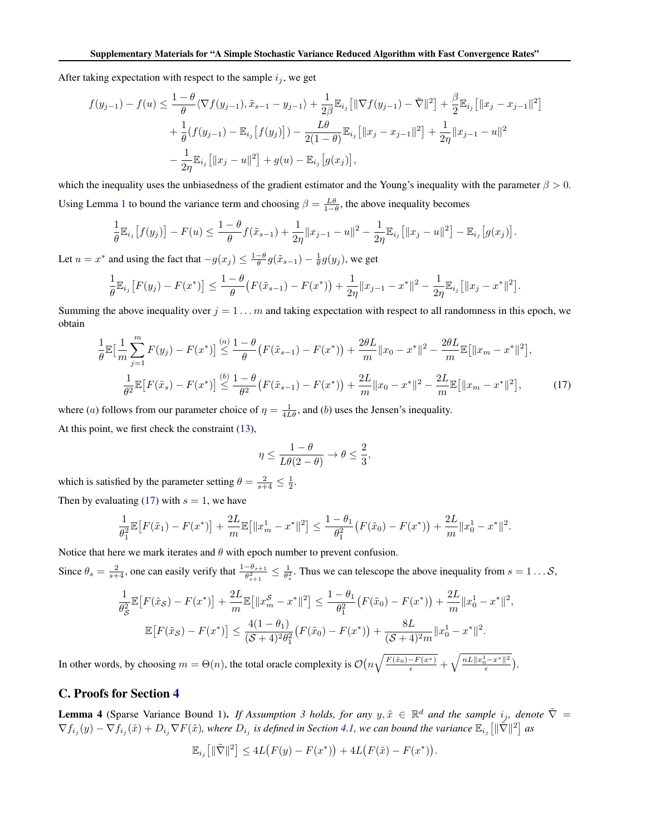<span id="page-6-0"></span>After taking expectation with respect to the sample  $i_j$ , we get

$$
f(y_{j-1}) - f(u) \leq \frac{1 - \theta}{\theta} \langle \nabla f(y_{j-1}), \tilde{x}_{s-1} - y_{j-1} \rangle + \frac{1}{2\beta} \mathbb{E}_{i_j} \left[ \|\nabla f(y_{j-1}) - \tilde{\nabla}\|^2 \right] + \frac{\beta}{2} \mathbb{E}_{i_j} \left[ \|x_j - x_{j-1}\|^2 \right] + \frac{1}{\theta} (f(y_{j-1}) - \mathbb{E}_{i_j} \left[ f(y_j) \right] ) - \frac{L\theta}{2(1 - \theta)} \mathbb{E}_{i_j} \left[ \|x_j - x_{j-1}\|^2 \right] + \frac{1}{2\eta} \|x_{j-1} - u\|^2 - \frac{1}{2\eta} \mathbb{E}_{i_j} \left[ \|x_j - u\|^2 \right] + g(u) - \mathbb{E}_{i_j} \left[ g(x_j) \right],
$$

which the inequality uses the unbiasedness of the gradient estimator and the Young's inequality with the parameter  $\beta > 0$ . Using Lemma [1](#page-0-0) to bound the variance term and choosing  $\beta = \frac{L\theta}{1-\theta}$ , the above inequality becomes

$$
\frac{1}{\theta} \mathbb{E}_{i_j} [f(y_j)] - F(u) \leq \frac{1-\theta}{\theta} f(\tilde{x}_{s-1}) + \frac{1}{2\eta} \|x_{j-1} - u\|^2 - \frac{1}{2\eta} \mathbb{E}_{i_j} [\|x_j - u\|^2] - \mathbb{E}_{i_j} [g(x_j)].
$$

Let  $u = x^*$  and using the fact that  $-g(x_j) \leq \frac{1-\theta}{\theta} g(\tilde{x}_{s-1}) - \frac{1}{\theta} g(y_j)$ , we get

$$
\frac{1}{\theta} \mathbb{E}_{i_j} \left[ F(y_j) - F(x^*) \right] \le \frac{1-\theta}{\theta} \left( F(\tilde{x}_{s-1}) - F(x^*) \right) + \frac{1}{2\eta} \|x_{j-1} - x^*\|^2 - \frac{1}{2\eta} \mathbb{E}_{i_j} \left[ \|x_j - x^*\|^2 \right].
$$

Summing the above inequality over  $j = 1 \dots m$  and taking expectation with respect to all randomness in this epoch, we obtain

$$
\frac{1}{\theta} \mathbb{E} \Big[ \frac{1}{m} \sum_{j=1}^{m} F(y_j) - F(x^*) \Big] \stackrel{(a)}{\leq} \frac{1 - \theta}{\theta} \big( F(\tilde{x}_{s-1}) - F(x^*) \big) + \frac{2\theta L}{m} \|x_0 - x^*\|^2 - \frac{2\theta L}{m} \mathbb{E} \big[ \|x_m - x^*\|^2 \big],
$$
\n
$$
\frac{1}{\theta^2} \mathbb{E} \big[ F(\tilde{x}_s) - F(x^*) \big] \stackrel{(b)}{\leq} \frac{1 - \theta}{\theta^2} \big( F(\tilde{x}_{s-1}) - F(x^*) \big) + \frac{2L}{m} \|x_0 - x^*\|^2 - \frac{2L}{m} \mathbb{E} \big[ \|x_m - x^*\|^2 \big],
$$
\n(17)

where (*a*) follows from our parameter choice of  $\eta = \frac{1}{4L\theta}$ , and (*b*) uses the Jensen's inequality.

At this point, we first check the constraint [\(13\)](#page-5-0),

$$
\eta \leq \frac{1-\theta}{L\theta(2-\theta)} \to \theta \leq \frac{2}{3},
$$

which is satisfied by the parameter setting  $\theta = \frac{2}{s+4} \leq \frac{1}{2}$ .

Then by evaluating (17) with  $s = 1$ , we have

$$
\frac{1}{\theta_1^2} \mathbb{E}\big[F(\tilde{x}_1) - F(x^*)\big] + \frac{2L}{m} \mathbb{E}\big[\|x_m^1 - x^*\|^2\big] \le \frac{1 - \theta_1}{\theta_1^2} \big(F(\tilde{x}_0) - F(x^*)\big) + \frac{2L}{m} \|x_0^1 - x^*\|^2.
$$

Notice that here we mark iterates and  $\theta$  with epoch number to prevent confusion.

Since  $\theta_s = \frac{2}{s+4}$ , one can easily verify that  $\frac{1-\theta_{s+1}}{\theta_{s+1}^2} \leq \frac{1}{\theta_s^2}$ . Thus we can telescope the above inequality from  $s = 1...S$ ,

$$
\frac{1}{\theta_{\mathcal{S}}^2} \mathbb{E}\left[F(\tilde{x}_{\mathcal{S}}) - F(x^*)\right] + \frac{2L}{m} \mathbb{E}\left[\|x_m^{\mathcal{S}} - x^*\|^2\right] \le \frac{1 - \theta_1}{\theta_1^2} \left(F(\tilde{x}_0) - F(x^*)\right) + \frac{2L}{m} \|x_0^1 - x^*\|^2,
$$
  

$$
\mathbb{E}\left[F(\tilde{x}_{\mathcal{S}}) - F(x^*)\right] \le \frac{4(1 - \theta_1)}{(\mathcal{S} + 4)^2 \theta_1^2} \left(F(\tilde{x}_0) - F(x^*)\right) + \frac{8L}{(\mathcal{S} + 4)^2 m} \|x_0^1 - x^*\|^2.
$$

In other words, by choosing  $m = \Theta(n)$ , the total oracle complexity is  $\mathcal{O}\left(n\sqrt{\frac{F(\tilde{x}_0) - F(x^*)}{\epsilon}} + \sqrt{\frac{nL||x_0^1 - x^*||^2}{\epsilon}}\right)$ .

# C. Proofs for Section [4](#page--1-0)

**Lemma 4** (Sparse Variance Bound 1). If Assumption [3](#page--1-0) holds, for any  $y, \tilde{x} \in \mathbb{R}^d$  and the sample  $i_j$ , denote  $\tilde{\nabla}$  =  $\nabla f_{i_j}(y) - \nabla f_{i_j}(\tilde{x}) + D_{i_j} \nabla F(\tilde{x})$ , where  $D_{i_j}$  is defined in Section [4.1,](#page--1-0) we can bound the variance  $\mathbb{E}_{i_j}\left[\|\tilde{\nabla}\|^2\right]$  as

$$
\mathbb{E}_{i_j} [||\tilde{\nabla}||^2] \le 4L(F(y) - F(x^*)) + 4L(F(\tilde{x}) - F(x^*)).
$$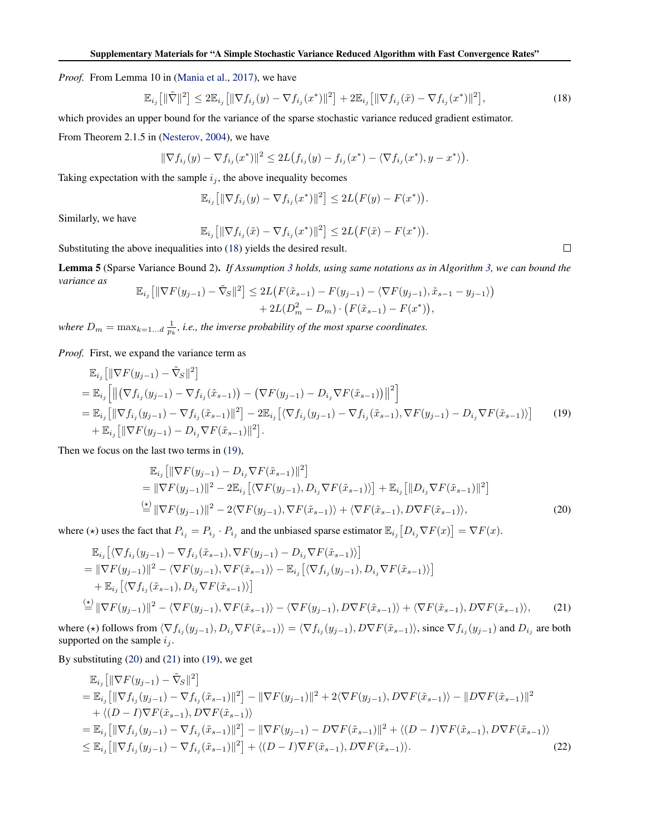<span id="page-7-0"></span>*Proof.* From Lemma 10 in [\(Mania et al.,](#page--1-0) [2017\)](#page--1-0), we have

$$
\mathbb{E}_{i_j} \left[ \|\tilde{\nabla}\|^2 \right] \le 2 \mathbb{E}_{i_j} \left[ \|\nabla f_{i_j}(y) - \nabla f_{i_j}(x^*)\|^2 \right] + 2 \mathbb{E}_{i_j} \left[ \|\nabla f_{i_j}(\tilde{x}) - \nabla f_{i_j}(x^*)\|^2 \right],\tag{18}
$$

which provides an upper bound for the variance of the sparse stochastic variance reduced gradient estimator.

From Theorem 2.1.5 in [\(Nesterov,](#page--1-0) [2004\)](#page--1-0), we have

$$
\|\nabla f_{i_j}(y) - \nabla f_{i_j}(x^*)\|^2 \le 2L(f_{i_j}(y) - f_{i_j}(x^*) - \langle \nabla f_{i_j}(x^*), y - x^* \rangle).
$$

Taking expectation with the sample  $i_j$ , the above inequality becomes

$$
\mathbb{E}_{i_j} [ \|\nabla f_{i_j}(y) - \nabla f_{i_j}(x^*)\|^2 ] \leq 2L \big( F(y) - F(x^*) \big).
$$

Similarly, we have

$$
\mathbb{E}_{i_j} [\|\nabla f_{i_j}(\tilde{x}) - \nabla f_{i_j}(x^*)\|^2] \le 2L(F(\tilde{x}) - F(x^*)).
$$

Substituting the above inequalities into (18) yields the desired result.

Lemma 5 (Sparse Variance Bound 2). *If Assumption [3](#page--1-0) holds, using same notations as in Algorithm [3,](#page--1-0) we can bound the variance as*  $22$ 

$$
\mathbb{E}_{i_j} \left[ \|\nabla F(y_{j-1}) - \tilde{\nabla}_S \|^2 \right] \leq 2L \big( F(\tilde{x}_{s-1}) - F(y_{j-1}) - \langle \nabla F(y_{j-1}), \tilde{x}_{s-1} - y_{j-1} \rangle \big) + 2L(D_m^2 - D_m) \cdot \big( F(\tilde{x}_{s-1}) - F(x^*) \big),
$$

where  $D_m = \max_{k=1...d} \frac{1}{p_k}$ , *i.e.*, the inverse probability of the most sparse coordinates.

*Proof.* First, we expand the variance term as

$$
\mathbb{E}_{i_j} [\|\nabla F(y_{j-1}) - \tilde{\nabla}_S\|^2]
$$
\n
$$
= \mathbb{E}_{i_j} [ \|(\nabla f_{i_j}(y_{j-1}) - \nabla f_{i_j}(\tilde{x}_{s-1})) - (\nabla F(y_{j-1}) - D_{i_j} \nabla F(\tilde{x}_{s-1})) \|^2 ]
$$
\n
$$
= \mathbb{E}_{i_j} [ \| \nabla f_{i_j}(y_{j-1}) - \nabla f_{i_j}(\tilde{x}_{s-1}) \|^2 ] - 2 \mathbb{E}_{i_j} [ \langle \nabla f_{i_j}(y_{j-1}) - \nabla f_{i_j}(\tilde{x}_{s-1}), \nabla F(y_{j-1}) - D_{i_j} \nabla F(\tilde{x}_{s-1}) \rangle ] \tag{19}
$$
\n
$$
+ \mathbb{E}_{i_j} [ \| \nabla F(y_{j-1}) - D_{i_j} \nabla F(\tilde{x}_{s-1}) \|^2 ].
$$

Then we focus on the last two terms in (19),

$$
\mathbb{E}_{i_j} [\|\nabla F(y_{j-1}) - D_{i_j} \nabla F(\tilde{x}_{s-1})\|^2] \n= \|\nabla F(y_{j-1})\|^2 - 2\mathbb{E}_{i_j} [\langle \nabla F(y_{j-1}), D_{i_j} \nabla F(\tilde{x}_{s-1}) \rangle] + \mathbb{E}_{i_j} [\|D_{i_j} \nabla F(\tilde{x}_{s-1})\|^2] \n\stackrel{\text{(b)}}{=} \|\nabla F(y_{j-1})\|^2 - 2\langle \nabla F(y_{j-1}), \nabla F(\tilde{x}_{s-1}) \rangle + \langle \nabla F(\tilde{x}_{s-1}), D \nabla F(\tilde{x}_{s-1}) \rangle,
$$
\n(20)

where ( $\star$ ) uses the fact that  $P_{i_j} = P_{i_j} \cdot P_{i_j}$  and the unbiased sparse estimator  $\mathbb{E}_{i_j} [D_{i_j} \nabla F(x)] = \nabla F(x)$ .

$$
\mathbb{E}_{i_j} \left[ \langle \nabla f_{i_j}(y_{j-1}) - \nabla f_{i_j}(\tilde{x}_{s-1}), \nabla F(y_{j-1}) - D_{i_j} \nabla F(\tilde{x}_{s-1}) \rangle \right]
$$
\n
$$
= \|\nabla F(y_{j-1})\|^2 - \langle \nabla F(y_{j-1}), \nabla F(\tilde{x}_{s-1}) \rangle - \mathbb{E}_{i_j} \left[ \langle \nabla f_{i_j}(y_{j-1}), D_{i_j} \nabla F(\tilde{x}_{s-1}) \rangle \right]
$$
\n
$$
+ \mathbb{E}_{i_j} \left[ \langle \nabla f_{i_j}(\tilde{x}_{s-1}), D_{i_j} \nabla F(\tilde{x}_{s-1}) \rangle \right]
$$
\n
$$
\stackrel{\text{(b)}}{=} \|\nabla F(y_{j-1})\|^2 - \langle \nabla F(y_{j-1}), \nabla F(\tilde{x}_{s-1}) \rangle - \langle \nabla F(y_{j-1}), D \nabla F(\tilde{x}_{s-1}) \rangle + \langle \nabla F(\tilde{x}_{s-1}), D \nabla F(\tilde{x}_{s-1}) \rangle, \tag{21}
$$

where ( $\star$ ) follows from  $\langle \nabla f_{i_j}(y_{j-1}), D_{i_j} \nabla F(\tilde{x}_{s-1}) \rangle = \langle \nabla f_{i_j}(y_{j-1}), D \nabla F(\tilde{x}_{s-1}) \rangle$ , since  $\nabla f_{i_j}(y_{j-1})$  and  $D_{i_j}$  are both supported on the sample  $i_j$ .

By substituting (20) and (21) into (19), we get

$$
\mathbb{E}_{i_j} [\|\nabla F(y_{j-1}) - \tilde{\nabla}_S\|^2]
$$
\n
$$
= \mathbb{E}_{i_j} [\|\nabla f_{i_j}(y_{j-1}) - \nabla f_{i_j}(\tilde{x}_{s-1})\|^2] - \|\nabla F(y_{j-1})\|^2 + 2\langle \nabla F(y_{j-1}), D\nabla F(\tilde{x}_{s-1})\rangle - \|D\nabla F(\tilde{x}_{s-1})\|^2
$$
\n
$$
+ \langle (D - I)\nabla F(\tilde{x}_{s-1}), D\nabla F(\tilde{x}_{s-1})\rangle
$$
\n
$$
= \mathbb{E}_{i_j} [\|\nabla f_{i_j}(y_{j-1}) - \nabla f_{i_j}(\tilde{x}_{s-1})\|^2] - \|\nabla F(y_{j-1}) - D\nabla F(\tilde{x}_{s-1})\|^2 + \langle (D - I)\nabla F(\tilde{x}_{s-1}), D\nabla F(\tilde{x}_{s-1})\rangle
$$
\n
$$
\leq \mathbb{E}_{i_j} [\|\nabla f_{i_j}(y_{j-1}) - \nabla f_{i_j}(\tilde{x}_{s-1})\|^2] + \langle (D - I)\nabla F(\tilde{x}_{s-1}), D\nabla F(\tilde{x}_{s-1})\rangle.
$$
\n(22)

 $\Box$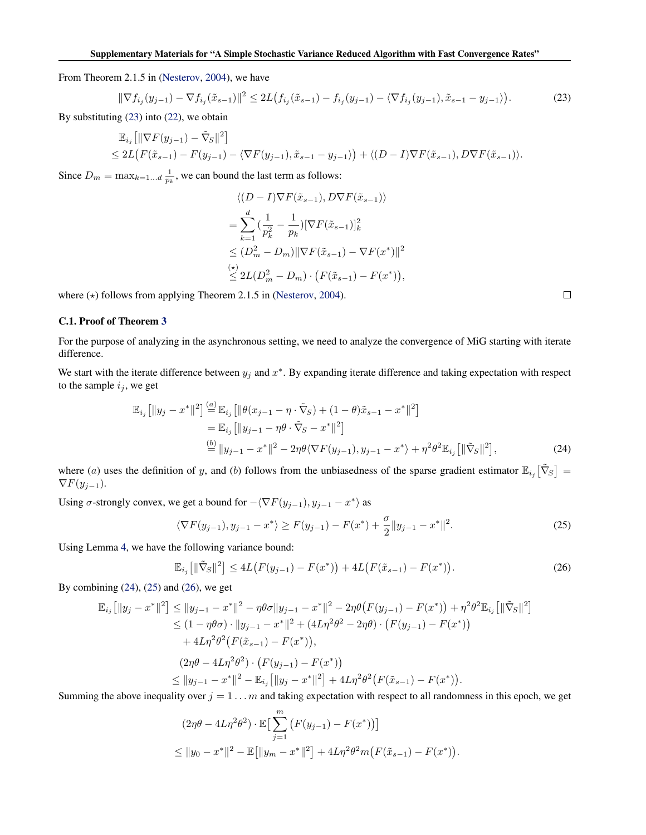From Theorem 2.1.5 in [\(Nesterov,](#page--1-0) [2004\)](#page--1-0), we have

$$
\|\nabla f_{i_j}(y_{j-1}) - \nabla f_{i_j}(\tilde{x}_{s-1})\|^2 \le 2L\big(f_{i_j}(\tilde{x}_{s-1}) - f_{i_j}(y_{j-1}) - \langle \nabla f_{i_j}(y_{j-1}), \tilde{x}_{s-1} - y_{j-1} \rangle\big).
$$
 (23)

By substituting (23) into [\(22\)](#page-7-0), we obtain

$$
\mathbb{E}_{i_j} \left[ \|\nabla F(y_{j-1}) - \tilde{\nabla}_S \|^2 \right] \le 2L \left( F(\tilde{x}_{s-1}) - F(y_{j-1}) - \langle \nabla F(y_{j-1}), \tilde{x}_{s-1} - y_{j-1} \rangle \right) + \langle (D - I) \nabla F(\tilde{x}_{s-1}), D \nabla F(\tilde{x}_{s-1}) \rangle.
$$

Since  $D_m = \max_{k=1...d} \frac{1}{p_k}$ , we can bound the last term as follows:

$$
\langle (D - I)\nabla F(\tilde{x}_{s-1}), D\nabla F(\tilde{x}_{s-1}) \rangle
$$
  
=  $\sum_{k=1}^{d} \left(\frac{1}{p_k^2} - \frac{1}{p_k}\right) [\nabla F(\tilde{x}_{s-1})]_k^2$   
 $\leq (D_m^2 - D_m) ||\nabla F(\tilde{x}_{s-1}) - \nabla F(x^*)||^2$   
 $\leq 2L(D_m^2 - D_m) \cdot (F(\tilde{x}_{s-1}) - F(x^*)),$ 

where  $(\star)$  follows from applying Theorem 2.1.5 in [\(Nesterov,](#page--1-0) [2004\)](#page--1-0).

### C.1. Proof of Theorem [3](#page--1-0)

For the purpose of analyzing in the asynchronous setting, we need to analyze the convergence of MiG starting with iterate difference.

We start with the iterate difference between  $y_j$  and  $x^*$ . By expanding iterate difference and taking expectation with respect to the sample  $i_j$ , we get

$$
\mathbb{E}_{i_j} [\|y_j - x^*\|^2] \stackrel{(a)}{=} \mathbb{E}_{i_j} [\|\theta(x_{j-1} - \eta \cdot \tilde{\nabla}_S) + (1 - \theta)\tilde{x}_{s-1} - x^*\|^2] \n= \mathbb{E}_{i_j} [\|y_{j-1} - \eta \theta \cdot \tilde{\nabla}_S - x^*\|^2] \n\stackrel{(b)}{=} \|y_{j-1} - x^*\|^2 - 2\eta \theta \langle \nabla F(y_{j-1}), y_{j-1} - x^* \rangle + \eta^2 \theta^2 \mathbb{E}_{i_j} [\|\tilde{\nabla}_S\|^2],
$$
\n(24)

where (a) uses the definition of y, and (b) follows from the unbiasedness of the sparse gradient estimator  $\mathbb{E}_{i_j}[\tilde{\nabla}_S] =$  $\nabla F(y_{j-1}).$ 

Using  $\sigma$ -strongly convex, we get a bound for  $-\langle \nabla F(y_{j-1}), y_{j-1} - x^* \rangle$  as

$$
\langle \nabla F(y_{j-1}), y_{j-1} - x^* \rangle \ge F(y_{j-1}) - F(x^*) + \frac{\sigma}{2} \| y_{j-1} - x^* \|^2.
$$
 (25)

Using Lemma [4,](#page-6-0) we have the following variance bound:

$$
\mathbb{E}_{i_j} \left[ \| \tilde{\nabla}_S \|^2 \right] \le 4L \big( F(y_{j-1}) - F(x^*) \big) + 4L \big( F(\tilde{x}_{s-1}) - F(x^*) \big). \tag{26}
$$

By combining  $(24)$ ,  $(25)$  and  $(26)$ , we get

$$
\mathbb{E}_{i_j} \left[ \|y_j - x^*\|^2 \right] \le \|y_{j-1} - x^*\|^2 - \eta \theta \sigma \|y_{j-1} - x^*\|^2 - 2\eta \theta \left( F(y_{j-1}) - F(x^*) \right) + \eta^2 \theta^2 \mathbb{E}_{i_j} \left[ \|\tilde{\nabla}_S\|^2 \right] \n\le (1 - \eta \theta \sigma) \cdot \|y_{j-1} - x^*\|^2 + (4L\eta^2 \theta^2 - 2\eta \theta) \cdot \left( F(y_{j-1}) - F(x^*) \right) \n+ 4L\eta^2 \theta^2 \left( F(\tilde{x}_{s-1}) - F(x^*) \right), \n(2\eta \theta - 4L\eta^2 \theta^2) \cdot \left( F(y_{j-1}) - F(x^*) \right) \n\le \|y_{j-1} - x^*\|^2 - \mathbb{E}_{i_j} \left[ \|y_j - x^*\|^2 \right] + 4L\eta^2 \theta^2 \left( F(\tilde{x}_{s-1}) - F(x^*) \right).
$$

Summing the above inequality over  $j = 1 \dots m$  and taking expectation with respect to all randomness in this epoch, we get

$$
(2\eta\theta - 4L\eta^2\theta^2) \cdot \mathbb{E}\left[\sum_{j=1}^m \left(F(y_{j-1}) - F(x^*)\right)\right]
$$
  
\$\leq \|y\_0 - x^\*\|^2 - \mathbb{E}\left[\|y\_m - x^\*\|^2\right] + 4L\eta^2\theta^2 m(F(\tilde{x}\_{s-1}) - F(x^\*)).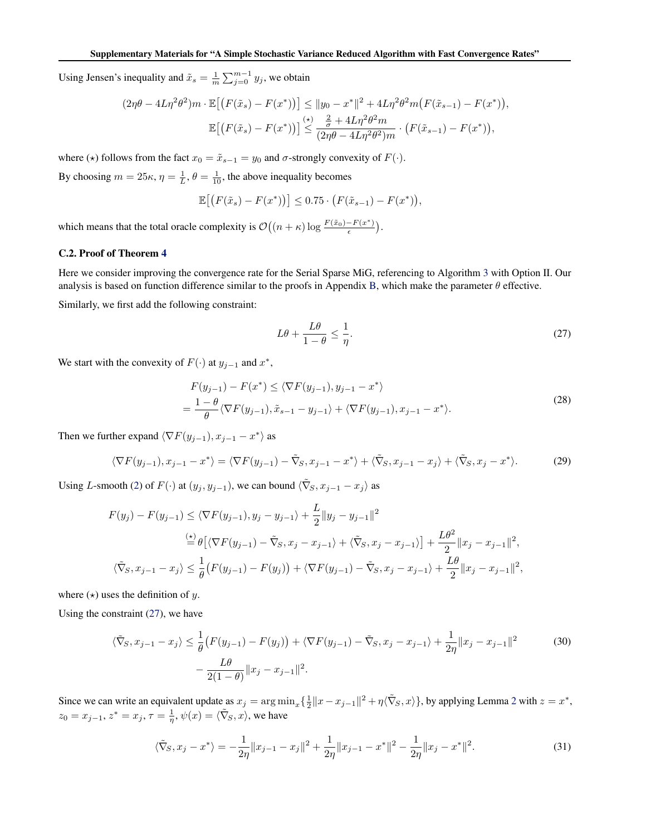<span id="page-9-0"></span>Using Jensen's inequality and  $\tilde{x}_s = \frac{1}{m} \sum_{j=0}^{m-1} y_j$ , we obtain

$$
(2\eta\theta - 4L\eta^2\theta^2)m \cdot \mathbb{E}\big[\big(F(\tilde{x}_s) - F(x^*)\big)\big] \le \|y_0 - x^*\|^2 + 4L\eta^2\theta^2m\big(F(\tilde{x}_{s-1}) - F(x^*)\big),
$$
  

$$
\mathbb{E}\big[\big(F(\tilde{x}_s) - F(x^*)\big)\big] \le \frac{\frac{2}{\sigma} + 4L\eta^2\theta^2m}{(2\eta\theta - 4L\eta^2\theta^2)m} \cdot \big(F(\tilde{x}_{s-1}) - F(x^*)\big),
$$

where ( $\star$ ) follows from the fact  $x_0 = \tilde{x}_{s-1} = y_0$  and  $\sigma$ -strongly convexity of  $F(\cdot)$ .

By choosing  $m = 25\kappa$ ,  $\eta = \frac{1}{L}$ ,  $\theta = \frac{1}{10}$ , the above inequality becomes

$$
\mathbb{E}\big[\big(F(\tilde{x}_s) - F(x^*)\big)\big] \leq 0.75 \cdot \big(F(\tilde{x}_{s-1}) - F(x^*)\big),
$$

which means that the total oracle complexity is  $\mathcal{O}\left((n+\kappa)\log\frac{F(\tilde{x}_0)-F(x^*)}{\epsilon}\right)$  $\frac{-F(x^*)}{\epsilon}$ ).

#### C.2. Proof of Theorem [4](#page--1-0)

Here we consider improving the convergence rate for the Serial Sparse MiG, referencing to Algorithm [3](#page--1-0) with Option II. Our analysis is based on function difference similar to the proofs in Appendix [B,](#page-1-0) which make the parameter  $\theta$  effective.

Similarly, we first add the following constraint:

$$
L\theta + \frac{L\theta}{1-\theta} \le \frac{1}{\eta}.\tag{27}
$$

We start with the convexity of  $F(\cdot)$  at  $y_{j-1}$  and  $x^*$ ,

$$
F(y_{j-1}) - F(x^*) \le \langle \nabla F(y_{j-1}), y_{j-1} - x^* \rangle
$$
  
=  $\frac{1 - \theta}{\theta} \langle \nabla F(y_{j-1}), \tilde{x}_{s-1} - y_{j-1} \rangle + \langle \nabla F(y_{j-1}), x_{j-1} - x^* \rangle.$  (28)

Then we further expand  $\langle \nabla F(y_{j-1}), x_{j-1} - x^* \rangle$  as

$$
\langle \nabla F(y_{j-1}), x_{j-1} - x^* \rangle = \langle \nabla F(y_{j-1}) - \tilde{\nabla}_S, x_{j-1} - x^* \rangle + \langle \tilde{\nabla}_S, x_{j-1} - x_j \rangle + \langle \tilde{\nabla}_S, x_j - x^* \rangle. \tag{29}
$$

Using L-smooth [\(2\)](#page--1-0) of  $F(\cdot)$  at  $(y_j, y_{j-1})$ , we can bound  $\langle \tilde{\nabla}_S, x_{j-1} - x_j \rangle$  as

$$
F(y_j) - F(y_{j-1}) \le \langle \nabla F(y_{j-1}), y_j - y_{j-1} \rangle + \frac{L}{2} \| y_j - y_{j-1} \|^2
$$
  
\n
$$
\stackrel{\text{(x)}}{=} \theta \left[ \langle \nabla F(y_{j-1}) - \tilde{\nabla}_S, x_j - x_{j-1} \rangle + \langle \tilde{\nabla}_S, x_j - x_{j-1} \rangle \right] + \frac{L\theta^2}{2} \| x_j - x_{j-1} \|^2,
$$
  
\n
$$
\langle \tilde{\nabla}_S, x_{j-1} - x_j \rangle \le \frac{1}{\theta} \left( F(y_{j-1}) - F(y_j) \right) + \langle \nabla F(y_{j-1}) - \tilde{\nabla}_S, x_j - x_{j-1} \rangle + \frac{L\theta}{2} \| x_j - x_{j-1} \|^2,
$$

where  $(\star)$  uses the definition of y.

Using the constraint (27), we have

$$
\langle \tilde{\nabla}_S, x_{j-1} - x_j \rangle \le \frac{1}{\theta} \left( F(y_{j-1}) - F(y_j) \right) + \langle \nabla F(y_{j-1}) - \tilde{\nabla}_S, x_j - x_{j-1} \rangle + \frac{1}{2\eta} \| x_j - x_{j-1} \|^2
$$
\n
$$
- \frac{L\theta}{2(1-\theta)} \| x_j - x_{j-1} \|^2.
$$
\n(30)

Since we can write an equivalent update as  $x_j = \arg \min_x {\frac{1}{2} ||x - x_{j-1}||^2 + \eta \langle \tilde{\nabla}_S, x \rangle}$  $x_j = \arg \min_x {\frac{1}{2} ||x - x_{j-1}||^2 + \eta \langle \tilde{\nabla}_S, x \rangle}$  $x_j = \arg \min_x {\frac{1}{2} ||x - x_{j-1}||^2 + \eta \langle \tilde{\nabla}_S, x \rangle}$ , by applying Lemma 2 with  $z = x^*$ ,  $z_0 = x_{j-1}, z^* = x_j, \tau = \frac{1}{\eta}, \psi(x) = \langle \tilde{\nabla}_S, x \rangle$ , we have

$$
\langle \tilde{\nabla}_S, x_j - x^* \rangle = -\frac{1}{2\eta} \|x_{j-1} - x_j\|^2 + \frac{1}{2\eta} \|x_{j-1} - x^*\|^2 - \frac{1}{2\eta} \|x_j - x^*\|^2. \tag{31}
$$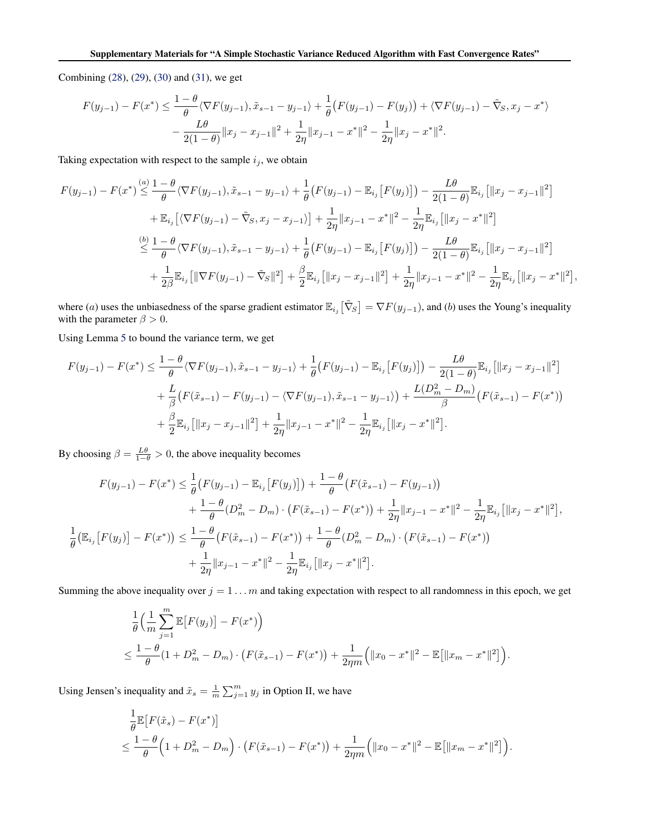Combining [\(28\)](#page-9-0), [\(29\)](#page-9-0), [\(30\)](#page-9-0) and [\(31\)](#page-9-0), we get

$$
F(y_{j-1}) - F(x^*) \le \frac{1-\theta}{\theta} \langle \nabla F(y_{j-1}), \tilde{x}_{s-1} - y_{j-1} \rangle + \frac{1}{\theta} \left( F(y_{j-1}) - F(y_j) \right) + \langle \nabla F(y_{j-1}) - \tilde{\nabla}_S, x_j - x^* \rangle
$$

$$
- \frac{L\theta}{2(1-\theta)} ||x_j - x_{j-1}||^2 + \frac{1}{2\eta} ||x_{j-1} - x^*||^2 - \frac{1}{2\eta} ||x_j - x^*||^2.
$$

Taking expectation with respect to the sample  $i_j$ , we obtain

$$
F(y_{j-1}) - F(x^*) \stackrel{(a)}{\leq} \frac{1-\theta}{\theta} \langle \nabla F(y_{j-1}), \tilde{x}_{s-1} - y_{j-1} \rangle + \frac{1}{\theta} \left( F(y_{j-1}) - \mathbb{E}_{i_j} \left[ F(y_j) \right] \right) - \frac{L\theta}{2(1-\theta)} \mathbb{E}_{i_j} \left[ \|x_j - x_{j-1}\|^2 \right] + \mathbb{E}_{i_j} \left[ \langle \nabla F(y_{j-1}) - \tilde{\nabla}_{S}, x_j - x_{j-1} \rangle \right] + \frac{1}{2\eta} \|x_{j-1} - x^*\|^2 - \frac{1}{2\eta} \mathbb{E}_{i_j} \left[ \|x_j - x^*\|^2 \right] \n\overset{(b)}{\leq} \frac{1-\theta}{\theta} \langle \nabla F(y_{j-1}), \tilde{x}_{s-1} - y_{j-1} \rangle + \frac{1}{\theta} \left( F(y_{j-1}) - \mathbb{E}_{i_j} \left[ F(y_j) \right] \right) - \frac{L\theta}{2(1-\theta)} \mathbb{E}_{i_j} \left[ \|x_j - x_{j-1}\|^2 \right] + \frac{1}{2\beta} \mathbb{E}_{i_j} \left[ \|\nabla F(y_{j-1}) - \tilde{\nabla}_{S}\|^2 \right] + \frac{\beta}{2} \mathbb{E}_{i_j} \left[ \|x_j - x_{j-1}\|^2 \right] + \frac{1}{2\eta} \|x_{j-1} - x^*\|^2 - \frac{1}{2\eta} \mathbb{E}_{i_j} \left[ \|x_j - x^*\|^2 \right],
$$

where (a) uses the unbiasedness of the sparse gradient estimator  $\mathbb{E}_{i,j} [\tilde{\nabla}_S] = \nabla F(y_{j-1})$ , and (b) uses the Young's inequality with the parameter  $\beta > 0$ .

Using Lemma [5](#page-7-0) to bound the variance term, we get

$$
F(y_{j-1}) - F(x^*) \leq \frac{1-\theta}{\theta} \langle \nabla F(y_{j-1}), \tilde{x}_{s-1} - y_{j-1} \rangle + \frac{1}{\theta} \big( F(y_{j-1}) - \mathbb{E}_{i_j} \big[ F(y_j) \big] \big) - \frac{L\theta}{2(1-\theta)} \mathbb{E}_{i_j} \big[ \|x_j - x_{j-1}\|^2 \big] + \frac{L}{\beta} \big( F(\tilde{x}_{s-1}) - F(y_{j-1}) - \langle \nabla F(y_{j-1}), \tilde{x}_{s-1} - y_{j-1} \rangle \big) + \frac{L(D_m^2 - D_m)}{\beta} \big( F(\tilde{x}_{s-1}) - F(x^*) \big) + \frac{\beta}{2} \mathbb{E}_{i_j} \big[ \|x_j - x_{j-1}\|^2 \big] + \frac{1}{2\eta} \|x_{j-1} - x^*\|^2 - \frac{1}{2\eta} \mathbb{E}_{i_j} \big[ \|x_j - x^*\|^2 \big].
$$

By choosing  $\beta = \frac{L\theta}{1-\theta} > 0$ , the above inequality becomes

1

$$
F(y_{j-1}) - F(x^*) \leq \frac{1}{\theta} \left( F(y_{j-1}) - \mathbb{E}_{i_j} \left[ F(y_j) \right] \right) + \frac{1 - \theta}{\theta} \left( F(\tilde{x}_{s-1}) - F(y_{j-1}) \right) + \frac{1 - \theta}{\theta} (D_m^2 - D_m) \cdot \left( F(\tilde{x}_{s-1}) - F(x^*) \right) + \frac{1}{2\eta} \|x_{j-1} - x^*\|^2 - \frac{1}{2\eta} \mathbb{E}_{i_j} \left[ \|x_j - x^*\|^2 \right],
$$
  

$$
\frac{1}{\theta} \left( \mathbb{E}_{i_j} \left[ F(y_j) \right] - F(x^*) \right) \leq \frac{1 - \theta}{\theta} \left( F(\tilde{x}_{s-1}) - F(x^*) \right) + \frac{1 - \theta}{\theta} (D_m^2 - D_m) \cdot \left( F(\tilde{x}_{s-1}) - F(x^*) \right) + \frac{1}{2\eta} \|x_{j-1} - x^*\|^2 - \frac{1}{2\eta} \mathbb{E}_{i_j} \left[ \|x_j - x^*\|^2 \right].
$$

Summing the above inequality over  $j = 1 ... m$  and taking expectation with respect to all randomness in this epoch, we get

$$
\frac{1}{\theta} \left( \frac{1}{m} \sum_{j=1}^{m} \mathbb{E} \left[ F(y_j) \right] - F(x^*) \right)
$$
\n
$$
\leq \frac{1 - \theta}{\theta} (1 + D_m^2 - D_m) \cdot \left( F(\tilde{x}_{s-1}) - F(x^*) \right) + \frac{1}{2\eta m} \left( \|x_0 - x^*\|^2 - \mathbb{E} \left[ \|x_m - x^*\|^2 \right] \right).
$$

Using Jensen's inequality and  $\tilde{x}_s = \frac{1}{m} \sum_{j=1}^m y_j$  in Option II, we have

$$
\frac{1}{\theta} \mathbb{E} \left[ F(\tilde{x}_s) - F(x^*) \right] \le \frac{1 - \theta}{\theta} \left( 1 + D_m^2 - D_m \right) \cdot \left( F(\tilde{x}_{s-1}) - F(x^*) \right) + \frac{1}{2\eta m} \left( \|x_0 - x^*\|^2 - \mathbb{E} \left[ \|x_m - x^*\|^2 \right] \right).
$$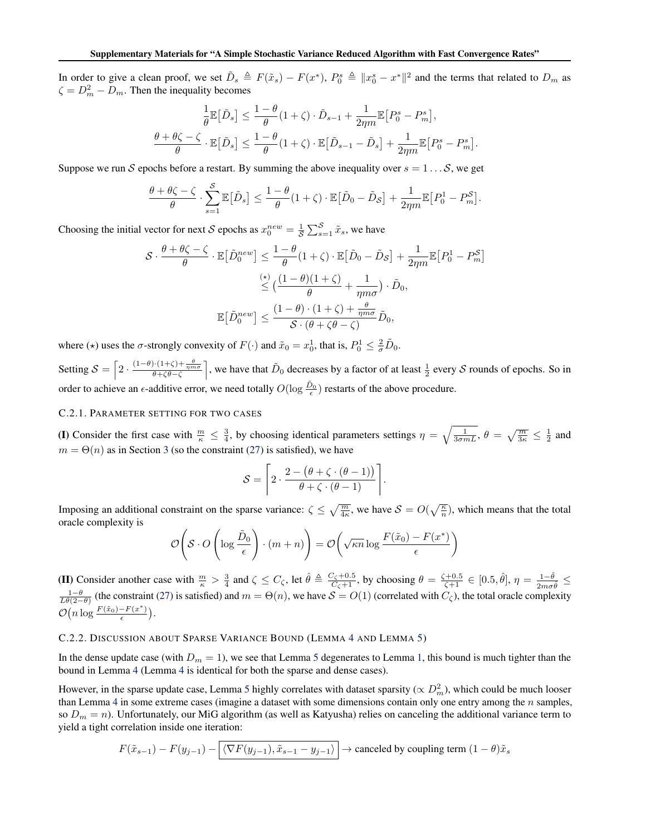In order to give a clean proof, we set  $\tilde{D}_s \triangleq F(\tilde{x}_s) - F(x^*)$ ,  $P_0^s \triangleq ||x_0^s - x^*||^2$  and the terms that related to  $D_m$  as  $\zeta = D_m^2 - D_m$ . Then the inequality becomes

$$
\label{eq:4.1} \begin{aligned} \frac{1}{\theta}\mathbb{E}\big[\tilde{D}_s\big] &\leq \frac{1-\theta}{\theta}(1+\zeta)\cdot \tilde{D}_{s-1} + \frac{1}{2\eta m}\mathbb{E}\big[P_0^s-P_m^s\big],\\ \frac{\theta+\theta\zeta-\zeta}{\theta}\cdot\mathbb{E}\big[\tilde{D}_s\big] &\leq \frac{1-\theta}{\theta}(1+\zeta)\cdot\mathbb{E}\big[\tilde{D}_{s-1}-\tilde{D}_s\big] + \frac{1}{2\eta m}\mathbb{E}\big[P_0^s-P_m^s\big]. \end{aligned}
$$

Suppose we run S epochs before a restart. By summing the above inequality over  $s = 1 \dots S$ , we get

$$
\frac{\theta + \theta \zeta - \zeta}{\theta} \cdot \sum_{s=1}^{S} \mathbb{E} \big[ \tilde{D}_s \big] \le \frac{1 - \theta}{\theta} (1 + \zeta) \cdot \mathbb{E} \big[ \tilde{D}_0 - \tilde{D}_S \big] + \frac{1}{2\eta m} \mathbb{E} \big[ P_0^1 - P_m^S \big].
$$

Choosing the initial vector for next S epochs as  $x_0^{new} = \frac{1}{S} \sum_{s=1}^{S} \tilde{x}_s$ , we have

$$
\mathcal{S} \cdot \frac{\theta + \theta \zeta - \zeta}{\theta} \cdot \mathbb{E} \left[ \tilde{D}_0^{new} \right] \le \frac{1 - \theta}{\theta} (1 + \zeta) \cdot \mathbb{E} \left[ \tilde{D}_0 - \tilde{D}_\mathcal{S} \right] + \frac{1}{2\eta m} \mathbb{E} \left[ P_0^1 - P_m^{\mathcal{S}} \right]
$$

$$
\stackrel{(*)}{\le} \left( \frac{(1 - \theta)(1 + \zeta)}{\theta} + \frac{1}{\eta m \sigma} \right) \cdot \tilde{D}_0,
$$

$$
\mathbb{E} \left[ \tilde{D}_0^{new} \right] \le \frac{(1 - \theta) \cdot (1 + \zeta) + \frac{\theta}{\eta m \sigma}}{\mathcal{S} \cdot (\theta + \zeta \theta - \zeta)} \tilde{D}_0,
$$

where ( $\star$ ) uses the  $\sigma$ -strongly convexity of  $F(\cdot)$  and  $\tilde{x}_0 = x_0^1$ , that is,  $P_0^1 \leq \frac{2}{\sigma} \tilde{D}_0$ .

Setting  $S = \left[2 \cdot \frac{(1-\theta)\cdot(1+\zeta)+\frac{\theta}{\eta m\sigma}}{\theta+\zeta\theta-\zeta}\right]$ , we have that  $\tilde{D}_0$  decreases by a factor of at least  $\frac{1}{2}$  every S rounds of epochs. So in order to achieve an  $\epsilon$ -additive error, we need totally  $O(\log \frac{\tilde{D}_0}{\epsilon})$  restarts of the above procedure.

#### C.2.1. PARAMETER SETTING FOR TWO CASES

(I) Consider the first case with  $\frac{m}{\kappa} \leq \frac{3}{4}$ , by choosing identical parameters settings  $\eta = \sqrt{\frac{1}{3\sigma mL}}$ ,  $\theta = \sqrt{\frac{m}{3\kappa}} \leq \frac{1}{2}$  and  $m = \Theta(n)$  as in Section [3](#page--1-0) (so the constraint [\(27\)](#page-9-0) is satisfied), we have

$$
S = \left[2 \cdot \frac{2 - (\theta + \zeta \cdot (\theta - 1))}{\theta + \zeta \cdot (\theta - 1)}\right].
$$

Imposing an additional constraint on the sparse variance:  $\zeta \leq \sqrt{\frac{m}{4\kappa}}$ , we have  $\mathcal{S} = O(\sqrt{\frac{\kappa}{n}})$ , which means that the total oracle complexity is

$$
\mathcal{O}\left(\mathcal{S} \cdot O\left(\log \frac{\tilde{D}_0}{\epsilon}\right) \cdot (m+n)\right) = \mathcal{O}\left(\sqrt{\kappa n} \log \frac{F(\tilde{x}_0) - F(x^*)}{\epsilon}\right)
$$

(II) Consider another case with  $\frac{m}{\kappa} > \frac{3}{4}$  and  $\zeta \le C_{\zeta}$ , let  $\hat{\theta} \triangleq \frac{C_{\zeta}+0.5}{C_{\zeta}+1}$ , by choosing  $\theta = \frac{\zeta+0.5}{\zeta+1} \in [0.5, \hat{\theta}], \eta = \frac{1-\hat{\theta}}{2m\sigma\hat{\theta}} \le \frac{1-\theta}{L\theta(2-\theta)}$  (the constraint [\(27\)](#page-9-0) is sa  $\mathcal{O}(n \log \frac{F(\tilde{x}_0) - F(x^*)}{\epsilon})$  $\frac{-F(x^*)}{\epsilon}$ ).

# C.2.2. DISCUSSION ABOUT SPARSE VARIANCE BOUND (LEMMA [4](#page-6-0) AND LEMMA [5\)](#page-7-0)

In the dense update case (with  $D_m = 1$ ), we see that Lemma [5](#page-7-0) degenerates to Lemma [1,](#page-0-0) this bound is much tighter than the bound in Lemma [4](#page-6-0) (Lemma [4](#page-6-0) is identical for both the sparse and dense cases).

However, in the sparse update case, Lemma [5](#page-7-0) highly correlates with dataset sparsity ( $\propto D_m^2$ ), which could be much looser than Lemma [4](#page-6-0) in some extreme cases (imagine a dataset with some dimensions contain only one entry among the  $n$  samples, so  $D_m = n$ ). Unfortunately, our MiG algorithm (as well as Katyusha) relies on canceling the additional variance term to yield a tight correlation inside one iteration:

$$
F(\tilde{x}_{s-1}) - F(y_{j-1}) - \boxed{\langle \nabla F(y_{j-1}), \tilde{x}_{s-1} - y_{j-1} \rangle} \rightarrow \text{ canceled by coupling term } (1 - \theta)\tilde{x}_s
$$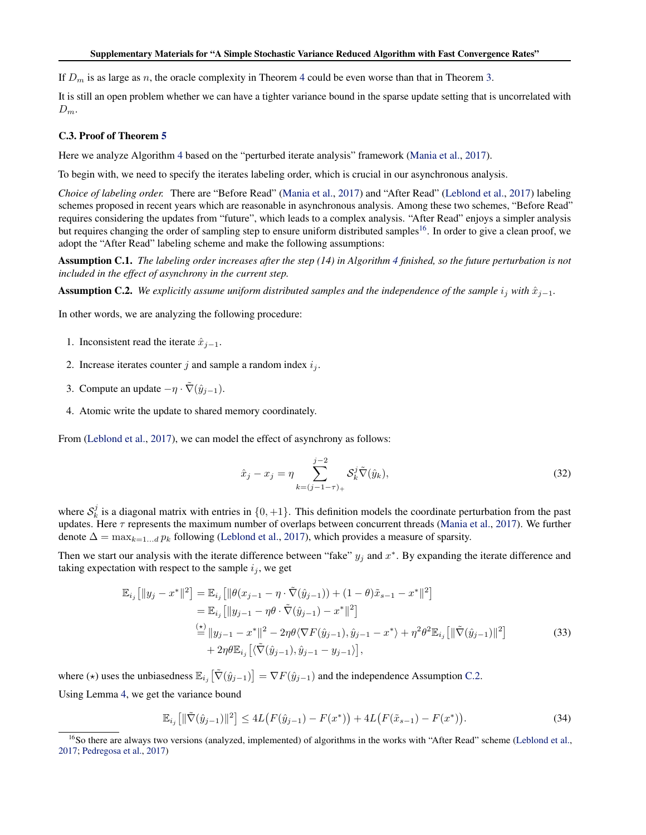<span id="page-12-0"></span>If  $D_m$  is as large as n, the oracle complexity in Theorem [4](#page--1-0) could be even worse than that in Theorem [3.](#page--1-0)

It is still an open problem whether we can have a tighter variance bound in the sparse update setting that is uncorrelated with  $D_m$ .

#### C.3. Proof of Theorem [5](#page--1-0)

Here we analyze Algorithm [4](#page--1-0) based on the "perturbed iterate analysis" framework [\(Mania et al.,](#page--1-0) [2017\)](#page--1-0).

To begin with, we need to specify the iterates labeling order, which is crucial in our asynchronous analysis.

*Choice of labeling order.* There are "Before Read" [\(Mania et al.,](#page--1-0) [2017\)](#page--1-0) and "After Read" [\(Leblond et al.,](#page--1-0) [2017\)](#page--1-0) labeling schemes proposed in recent years which are reasonable in asynchronous analysis. Among these two schemes, "Before Read" requires considering the updates from "future", which leads to a complex analysis. "After Read" enjoys a simpler analysis but requires changing the order of sampling step to ensure uniform distributed samples<sup>16</sup>. In order to give a clean proof, we adopt the "After Read" labeling scheme and make the following assumptions:

Assumption C.1. *The labeling order increases after the step (14) in Algorithm [4](#page--1-0) finished, so the future perturbation is not included in the effect of asynchrony in the current step.*

**Assumption C.2.** *We explicitly assume uniform distributed samples and the independence of the sample*  $i_j$  *with*  $\hat{x}_{j-1}$ *.* 

In other words, we are analyzing the following procedure:

- 1. Inconsistent read the iterate  $\hat{x}_{j-1}$ .
- 2. Increase iterates counter j and sample a random index  $i_j$ .
- 3. Compute an update  $-\eta \cdot \tilde{\nabla}(\hat{y}_{j-1})$ .
- 4. Atomic write the update to shared memory coordinately.

From [\(Leblond et al.,](#page--1-0) [2017\)](#page--1-0), we can model the effect of asynchrony as follows:

$$
\hat{x}_j - x_j = \eta \sum_{k=(j-1-\tau)_+}^{j-2} \mathcal{S}_k^j \tilde{\nabla}(\hat{y}_k),\tag{32}
$$

where  $S_k^j$  is a diagonal matrix with entries in  $\{0, +1\}$ . This definition models the coordinate perturbation from the past updates. Here  $\tau$  represents the maximum number of overlaps between concurrent threads [\(Mania et al.,](#page--1-0) [2017\)](#page--1-0). We further denote  $\Delta = \max_{k=1...d} p_k$  following [\(Leblond et al.,](#page--1-0) [2017\)](#page--1-0), which provides a measure of sparsity.

Then we start our analysis with the iterate difference between "fake"  $y_j$  and  $x^*$ . By expanding the iterate difference and taking expectation with respect to the sample  $i_j$ , we get

$$
\mathbb{E}_{i_j} [||y_j - x^*||^2] = \mathbb{E}_{i_j} [||\theta(x_{j-1} - \eta \cdot \tilde{\nabla}(\hat{y}_{j-1})) + (1 - \theta)\tilde{x}_{s-1} - x^*||^2] \n= \mathbb{E}_{i_j} [||y_{j-1} - \eta \theta \cdot \tilde{\nabla}(\hat{y}_{j-1}) - x^*||^2] \n\stackrel{\text{(x)}}{=} ||y_{j-1} - x^*||^2 - 2\eta \theta \langle \nabla F(\hat{y}_{j-1}), \hat{y}_{j-1} - x^* \rangle + \eta^2 \theta^2 \mathbb{E}_{i_j} [||\tilde{\nabla}(\hat{y}_{j-1})||^2] \n+ 2\eta \theta \mathbb{E}_{i_j} [\langle \tilde{\nabla}(\hat{y}_{j-1}), \hat{y}_{j-1} - y_{j-1} \rangle],
$$
\n(33)

where ( $\star$ ) uses the unbiasedness  $\mathbb{E}_{i_j} \left[ \tilde{\nabla}(\hat{y}_{j-1}) \right] = \nabla F(\hat{y}_{j-1})$  and the independence Assumption C.2.

Using Lemma [4,](#page-6-0) we get the variance bound

$$
\mathbb{E}_{i_j} \left[ \| \tilde{\nabla}(\hat{y}_{j-1}) \|^2 \right] \le 4L \big( F(\hat{y}_{j-1}) - F(x^*) \big) + 4L \big( F(\tilde{x}_{s-1}) - F(x^*) \big). \tag{34}
$$

<sup>&</sup>lt;sup>16</sup>So there are always two versions (analyzed, implemented) of algorithms in the works with "After Read" scheme [\(Leblond et al.,](#page--1-0) [2017;](#page--1-0) [Pedregosa et al.,](#page--1-0) [2017\)](#page--1-0)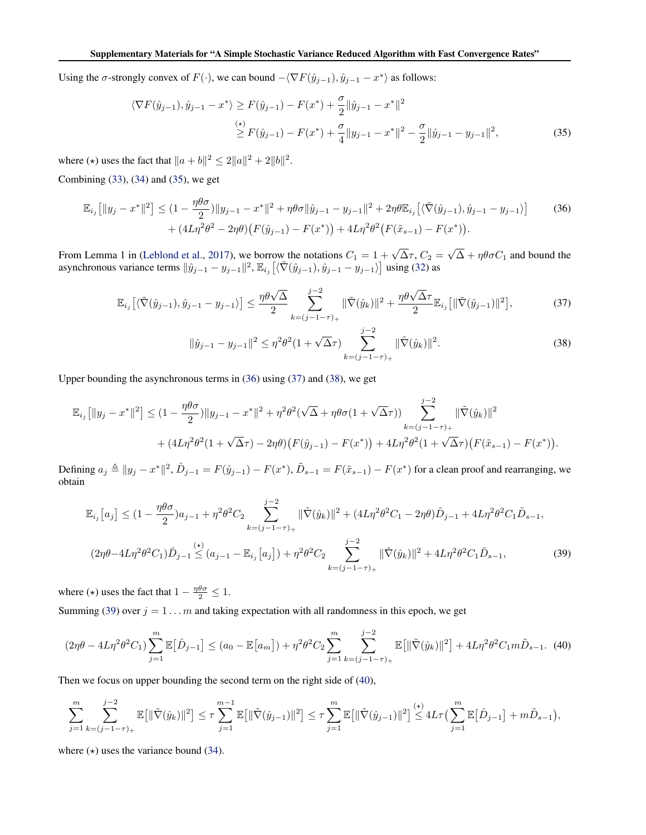<span id="page-13-0"></span>Using the  $\sigma$ -strongly convex of  $F(\cdot)$ , we can bound  $-\langle \nabla F(\hat{y}_{j-1}), \hat{y}_{j-1} - x^* \rangle$  as follows:

$$
\langle \nabla F(\hat{y}_{j-1}), \hat{y}_{j-1} - x^* \rangle \ge F(\hat{y}_{j-1}) - F(x^*) + \frac{\sigma}{2} \|\hat{y}_{j-1} - x^*\|^2
$$
  
\n
$$
\ge F(\hat{y}_{j-1}) - F(x^*) + \frac{\sigma}{4} \|y_{j-1} - x^*\|^2 - \frac{\sigma}{2} \|\hat{y}_{j-1} - y_{j-1}\|^2,
$$
\n(35)

where ( $\star$ ) uses the fact that  $||a + b||^2 \le 2||a||^2 + 2||b||^2$ .

Combining [\(33\)](#page-12-0), [\(34\)](#page-12-0) and (35), we get

$$
\mathbb{E}_{i_j} [||y_j - x^*||^2] \leq (1 - \frac{\eta \theta \sigma}{2}) ||y_{j-1} - x^*||^2 + \eta \theta \sigma ||\hat{y}_{j-1} - y_{j-1}||^2 + 2\eta \theta \mathbb{E}_{i_j} [\langle \tilde{\nabla}(\hat{y}_{j-1}), \hat{y}_{j-1} - y_{j-1} \rangle] \tag{36}
$$
  
+ 
$$
(4L\eta^2 \theta^2 - 2\eta \theta) (F(\hat{y}_{j-1}) - F(x^*)) + 4L\eta^2 \theta^2 (F(\tilde{x}_{s-1}) - F(x^*)).
$$

From Lemma 1 in [\(Leblond et al.,](#page--1-0) [2017\)](#page--1-0), we borrow the notations  $C_1 = 1 + \sqrt{\Delta} \tau$ ,  $C_2 =$ √  $\Delta + \eta \theta \sigma C_1$  and bound the asynchronous variance terms  $\|\hat{y}_{j-1} - y_{j-1}\|^2$ ,  $\mathbb{E}_{i_j} \left[ \langle \tilde{\nabla}(\hat{y}_{j-1}), \hat{y}_{j-1} - y_{j-1} \rangle \right]$  using [\(32\)](#page-12-0) as

$$
\mathbb{E}_{i_j} \left[ \langle \tilde{\nabla}(\hat{y}_{j-1}), \hat{y}_{j-1} - y_{j-1} \rangle \right] \le \frac{\eta \theta \sqrt{\Delta}}{2} \sum_{k=(j-1-\tau)_+}^{j-2} \|\tilde{\nabla}(\hat{y}_k)\|^2 + \frac{\eta \theta \sqrt{\Delta} \tau}{2} \mathbb{E}_{i_j} \left[ \|\tilde{\nabla}(\hat{y}_{j-1})\|^2 \right],\tag{37}
$$

$$
\|\hat{y}_{j-1} - y_{j-1}\|^2 \le \eta^2 \theta^2 (1 + \sqrt{\Delta}\tau) \sum_{k=(j-1-\tau)_+}^{j-2} \|\tilde{\nabla}(\hat{y}_k)\|^2.
$$
 (38)

Upper bounding the asynchronous terms in (36) using (37) and (38), we get

$$
\mathbb{E}_{i_j} [||y_j - x^*||^2] \leq (1 - \frac{\eta \theta \sigma}{2}) ||y_{j-1} - x^*||^2 + \eta^2 \theta^2 (\sqrt{\Delta} + \eta \theta \sigma (1 + \sqrt{\Delta} \tau)) \sum_{k=(j-1-\tau)_+}^{j-2} ||\tilde{\nabla}(\hat{y}_k)||^2 + (4L\eta^2 \theta^2 (1 + \sqrt{\Delta} \tau) - 2\eta \theta) (F(\hat{y}_{j-1}) - F(x^*)) + 4L\eta^2 \theta^2 (1 + \sqrt{\Delta} \tau) (F(\tilde{x}_{s-1}) - F(x^*)).
$$

Defining  $a_j \triangleq ||y_j - x^*||^2$ ,  $\hat{D}_{j-1} = F(\hat{y}_{j-1}) - F(x^*)$ ,  $\tilde{D}_{s-1} = F(\tilde{x}_{s-1}) - F(x^*)$  for a clean proof and rearranging, we obtain

$$
\mathbb{E}_{i_j}[a_j] \leq (1 - \frac{\eta \theta \sigma}{2})a_{j-1} + \eta^2 \theta^2 C_2 \sum_{k=(j-1-\tau)_+}^{j-2} ||\tilde{\nabla}(\hat{y}_k)||^2 + (4L\eta^2 \theta^2 C_1 - 2\eta \theta)\hat{D}_{j-1} + 4L\eta^2 \theta^2 C_1 \tilde{D}_{s-1},
$$
  

$$
(2\eta \theta - 4L\eta^2 \theta^2 C_1)\hat{D}_{j-1} \leq (a_{j-1} - \mathbb{E}_{i_j}[a_j]) + \eta^2 \theta^2 C_2 \sum_{k=(j-1-\tau)_+}^{j-2} ||\tilde{\nabla}(\hat{y}_k)||^2 + 4L\eta^2 \theta^2 C_1 \tilde{D}_{s-1},
$$
 (39)

where ( $\star$ ) uses the fact that  $1 - \frac{\eta \theta \sigma}{2} \leq 1$ .

Summing (39) over  $j = 1 ... m$  and taking expectation with all randomness in this epoch, we get

$$
(2\eta\theta - 4L\eta^2\theta^2C_1)\sum_{j=1}^m \mathbb{E}[\hat{D}_{j-1}] \le (a_0 - \mathbb{E}[a_m]) + \eta^2\theta^2C_2\sum_{j=1}^m \sum_{k=(j-1-\tau)_+}^{j-2} \mathbb{E}[\|\tilde{\nabla}(\hat{y}_k)\|^2] + 4L\eta^2\theta^2C_1m\tilde{D}_{s-1}.\tag{40}
$$

Then we focus on upper bounding the second term on the right side of (40),

$$
\sum_{j=1}^m \sum_{k=(j-1-\tau)_+}^{j-2} \mathbb{E}[\|\tilde{\nabla}(\hat{y}_k)\|^2] \leq \tau \sum_{j=1}^{m-1} \mathbb{E}[\|\tilde{\nabla}(\hat{y}_{j-1})\|^2] \leq \tau \sum_{j=1}^m \mathbb{E}[\|\tilde{\nabla}(\hat{y}_{j-1})\|^2] \leq 4L\tau \left(\sum_{j=1}^m \mathbb{E}[\hat{D}_{j-1}] + m\tilde{D}_{s-1}\right),
$$

where  $(\star)$  uses the variance bound [\(34\)](#page-12-0).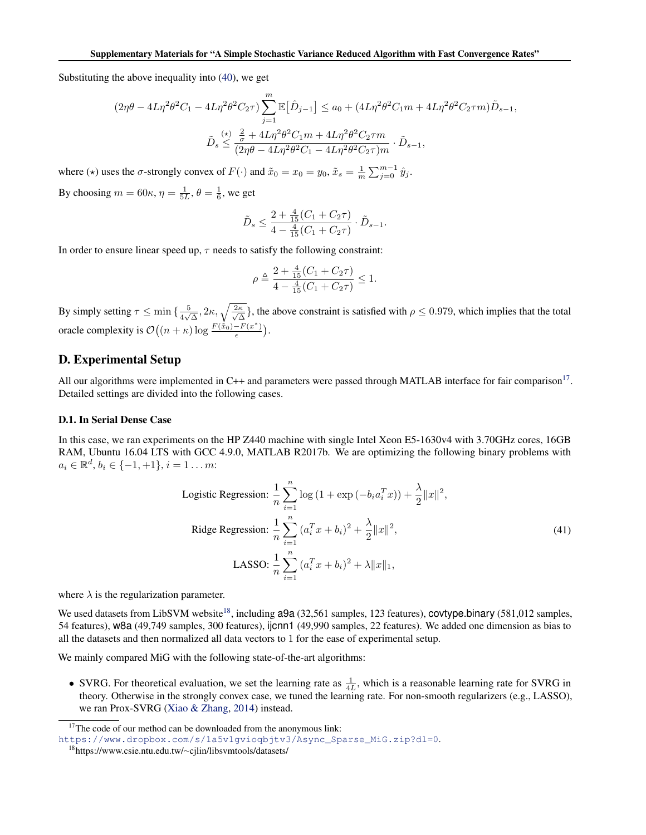Substituting the above inequality into [\(40\)](#page-13-0), we get

$$
\begin{aligned} (2\eta\theta-4L\eta^2\theta^2C_1-4L\eta^2\theta^2C_2\tau)\sum_{j=1}^m\mathbb{E}\big[\hat{D}_{j-1}\big] &\leq a_0+(4L\eta^2\theta^2C_1m+4L\eta^2\theta^2C_2\tau m)\tilde{D}_{s-1},\\ \tilde{D}_s &\leq \frac{\left(\star\right)}{(2\eta\theta-4L\eta^2\theta^2C_1m+4L\eta^2\theta^2C_2\tau m}\cdot\tilde{D}_{s-1}, \end{aligned}
$$

where ( $\star$ ) uses the  $\sigma$ -strongly convex of  $F(\cdot)$  and  $\tilde{x}_0 = x_0 = y_0$ ,  $\tilde{x}_s = \frac{1}{m} \sum_{j=0}^{m-1} \hat{y}_j$ . By choosing  $m = 60\kappa$ ,  $\eta = \frac{1}{5L}$ ,  $\theta = \frac{1}{6}$ , we get

$$
\tilde{D}_s \le \frac{2 + \frac{4}{15}(C_1 + C_2\tau)}{4 - \frac{4}{15}(C_1 + C_2\tau)} \cdot \tilde{D}_{s-1}.
$$

In order to ensure linear speed up,  $\tau$  needs to satisfy the following constraint:

$$
\rho \triangleq \frac{2 + \frac{4}{15}(C_1 + C_2\tau)}{4 - \frac{4}{15}(C_1 + C_2\tau)} \le 1.
$$

By simply setting  $\tau \leq \min\left\{\frac{5}{4\sqrt{3}}\right\}$  $\frac{5}{4\sqrt{\Delta}}, 2\kappa, \sqrt{\frac{2\kappa}{\sqrt{\Delta}}}$  $\frac{\kappa}{\Delta}$ , the above constraint is satisfied with  $\rho \le 0.979$ , which implies that the total oracle complexity is  $\mathcal{O}\left((n+\kappa)\log\frac{F(\dot{x}_0)-F(x^*)}{\epsilon}\right)$  $\frac{-F(x^*)}{\epsilon}$ ).

# D. Experimental Setup

All our algorithms were implemented in C++ and parameters were passed through MATLAB interface for fair comparison<sup>17</sup>. Detailed settings are divided into the following cases.

#### D.1. In Serial Dense Case

In this case, we ran experiments on the HP Z440 machine with single Intel Xeon E5-1630v4 with 3.70GHz cores, 16GB RAM, Ubuntu 16.04 LTS with GCC 4.9.0, MATLAB R2017b. We are optimizing the following binary problems with  $a_i \in \mathbb{R}^d, b_i \in \{-1, +1\}, i = 1 \dots m$ :

Logistic Regression: 
$$
\frac{1}{n} \sum_{i=1}^{n} \log (1 + \exp(-b_i a_i^T x)) + \frac{\lambda}{2} ||x||^2,
$$
  
 Ridge Regression: 
$$
\frac{1}{n} \sum_{i=1}^{n} (a_i^T x + b_i)^2 + \frac{\lambda}{2} ||x||^2,
$$
  
LASSO: 
$$
\frac{1}{n} \sum_{i=1}^{n} (a_i^T x + b_i)^2 + \lambda ||x||_1,
$$
 (41)

where  $\lambda$  is the regularization parameter.

We used datasets from LibSVM website<sup>18</sup>, including  $a9a$  (32,561 samples, 123 features), covtype.binary (581,012 samples, 54 features), w8a (49,749 samples, 300 features), ijcnn1 (49,990 samples, 22 features). We added one dimension as bias to all the datasets and then normalized all data vectors to 1 for the ease of experimental setup.

We mainly compared MiG with the following state-of-the-art algorithms:

• SVRG. For theoretical evaluation, we set the learning rate as  $\frac{1}{4L}$ , which is a reasonable learning rate for SVRG in theory. Otherwise in the strongly convex case, we tuned the learning rate. For non-smooth regularizers (e.g., LASSO), we ran Prox-SVRG [\(Xiao & Zhang,](#page--1-0) [2014\)](#page--1-0) instead.

<sup>&</sup>lt;sup>17</sup>The code of our method can be downloaded from the anonymous link:

[https://www.dropbox.com/s/1a5v1gvioqbjtv3/Async\\_Sparse\\_MiG.zip?dl=0](https://www.dropbox.com/s/1a5v1gvioqbjtv3/Async_Sparse_MiG.zip?dl=0).

<sup>18</sup>https://www.csie.ntu.edu.tw/∼cjlin/libsvmtools/datasets/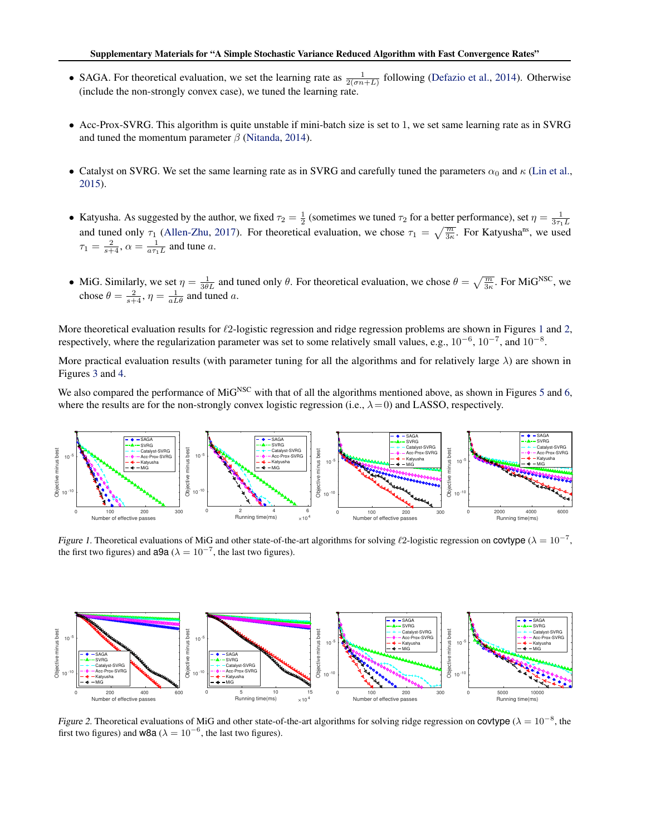- SAGA. For theoretical evaluation, we set the learning rate as  $\frac{1}{2(\sigma n+L)}$  following [\(Defazio et al.,](#page--1-0) [2014\)](#page--1-0). Otherwise (include the non-strongly convex case), we tuned the learning rate.
- Acc-Prox-SVRG. This algorithm is quite unstable if mini-batch size is set to 1, we set same learning rate as in SVRG and tuned the momentum parameter  $\beta$  [\(Nitanda,](#page--1-0) [2014\)](#page--1-0).
- Catalyst on SVRG. We set the same learning rate as in SVRG and carefully tuned the parameters  $\alpha_0$  and  $\kappa$  [\(Lin et al.,](#page--1-0) [2015\)](#page--1-0).
- Katyusha. As suggested by the author, we fixed  $\tau_2 = \frac{1}{2}$  (sometimes we tuned  $\tau_2$  for a better performance), set  $\eta = \frac{1}{3\tau_1 L}$ and tuned only  $\tau_1$  [\(Allen-Zhu,](#page--1-0) [2017\)](#page--1-0). For theoretical evaluation, we chose  $\tau_1 = \sqrt{\frac{m}{3\kappa}}$ . For Katyusha<sup>ns</sup>, we used  $\tau_1 = \frac{2}{s+4}, \alpha = \frac{1}{a\tau_1L}$  and tune a.
- MiG. Similarly, we set  $\eta = \frac{1}{3\theta L}$  and tuned only  $\theta$ . For theoretical evaluation, we chose  $\theta = \sqrt{\frac{m}{3\kappa}}$ . For MiG<sup>NSC</sup>, we chose  $\theta = \frac{2}{s+4}, \eta = \frac{1}{aL\theta}$  and tuned a.

More theoretical evaluation results for  $\ell$ 2-logistic regression and ridge regression problems are shown in Figures [1](#page--1-0) and [2,](#page--1-0) respectively, where the regularization parameter was set to some relatively small values, e.g.,  $10^{-6}$ ,  $10^{-7}$ , and  $10^{-8}$ .

More practical evaluation results (with parameter tuning for all the algorithms and for relatively large  $\lambda$ ) are shown in Figures [3](#page--1-0) and [4.](#page--1-0)

We also compared the performance of MiG<sup>NSC</sup> with that of all the algorithms mentioned above, as shown in Figures [5](#page-17-0) and [6,](#page-17-0) where the results are for the non-strongly convex logistic regression (i.e.,  $\lambda = 0$ ) and LASSO, respectively.



Figure 1. Theoretical evaluations of MiG and other state-of-the-art algorithms for solving  $\ell$ 2-logistic regression on covtype ( $\lambda = 10^{-7}$ , the first two figures) and **a9a** ( $\lambda = 10^{-7}$ , the last two figures).



Figure 2. Theoretical evaluations of MiG and other state-of-the-art algorithms for solving ridge regression on **covtype** ( $\lambda = 10^{-8}$ , the first two figures) and **w8a** ( $\lambda = 10^{-6}$ , the last two figures).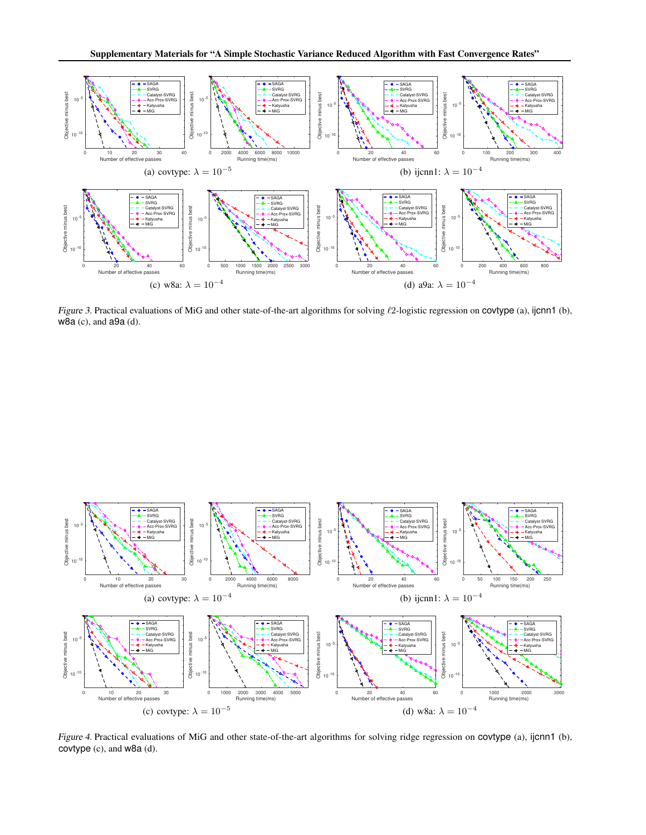

Figure 3. Practical evaluations of MiG and other state-of-the-art algorithms for solving  $\ell$ 2-logistic regression on covtype (a), ijcnn1 (b), w8a (c), and a9a (d).



Figure 4. Practical evaluations of MiG and other state-of-the-art algorithms for solving ridge regression on covtype (a), ijcnn1 (b), covtype (c), and w8a (d).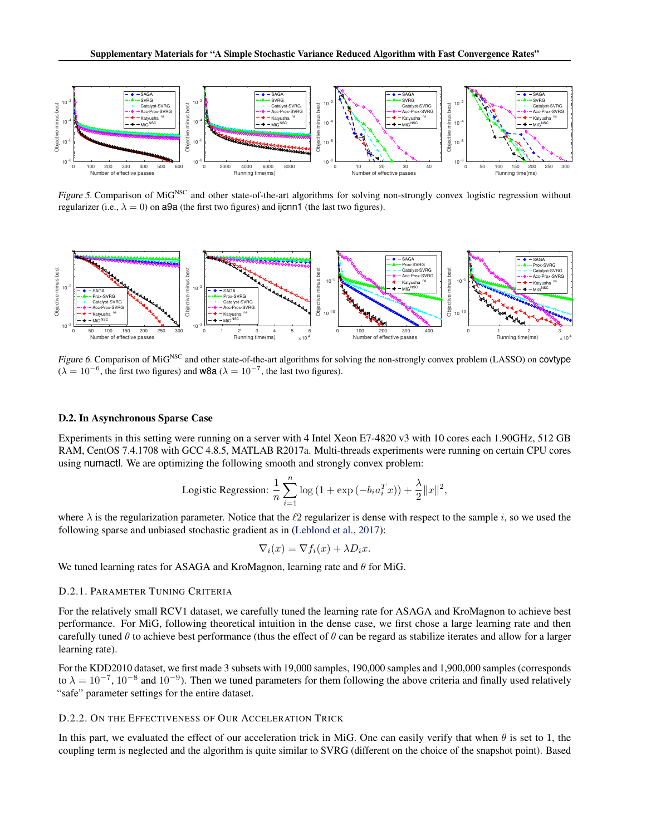<span id="page-17-0"></span>

Figure 5. Comparison of MiG<sup>NSC</sup> and other state-of-the-art algorithms for solving non-strongly convex logistic regression without regularizer (i.e.,  $\lambda = 0$ ) on a9a (the first two figures) and ijcnn1 (the last two figures).



Figure 6. Comparison of MiG<sup>NSC</sup> and other state-of-the-art algorithms for solving the non-strongly convex problem (LASSO) on covtype  $(\lambda = 10^{-6}$ , the first two figures) and **w8a**  $(\lambda = 10^{-7}$ , the last two figures).

#### D.2. In Asynchronous Sparse Case

Experiments in this setting were running on a server with 4 Intel Xeon E7-4820 v3 with 10 cores each 1.90GHz, 512 GB RAM, CentOS 7.4.1708 with GCC 4.8.5, MATLAB R2017a. Multi-threads experiments were running on certain CPU cores using numactl. We are optimizing the following smooth and strongly convex problem:

Logistic Regression: 
$$
\frac{1}{n}\sum_{i=1}^{n}\log\left(1+\exp\left(-b_{i}a_{i}^{T}x\right)\right)+\frac{\lambda}{2}\|x\|^{2},
$$

where  $\lambda$  is the regularization parameter. Notice that the  $\ell_2$  regularizer is dense with respect to the sample i, so we used the following sparse and unbiased stochastic gradient as in [\(Leblond et al.,](#page--1-0) [2017\)](#page--1-0):

$$
\nabla_i(x) = \nabla f_i(x) + \lambda D_i x.
$$

We tuned learning rates for ASAGA and KroMagnon, learning rate and  $\theta$  for MiG.

#### D.2.1. PARAMETER TUNING CRITERIA

For the relatively small RCV1 dataset, we carefully tuned the learning rate for ASAGA and KroMagnon to achieve best performance. For MiG, following theoretical intuition in the dense case, we first chose a large learning rate and then carefully tuned  $\theta$  to achieve best performance (thus the effect of  $\theta$  can be regard as stabilize iterates and allow for a larger learning rate).

For the KDD2010 dataset, we first made 3 subsets with 19,000 samples, 190,000 samples and 1,900,000 samples (corresponds to  $\lambda = 10^{-7}$ ,  $10^{-8}$  and  $10^{-9}$ ). Then we tuned parameters for them following the above criteria and finally used relatively "safe" parameter settings for the entire dataset.

## D.2.2. ON THE EFFECTIVENESS OF OUR ACCELERATION TRICK

In this part, we evaluated the effect of our acceleration trick in MiG. One can easily verify that when  $\theta$  is set to 1, the coupling term is neglected and the algorithm is quite similar to SVRG (different on the choice of the snapshot point). Based